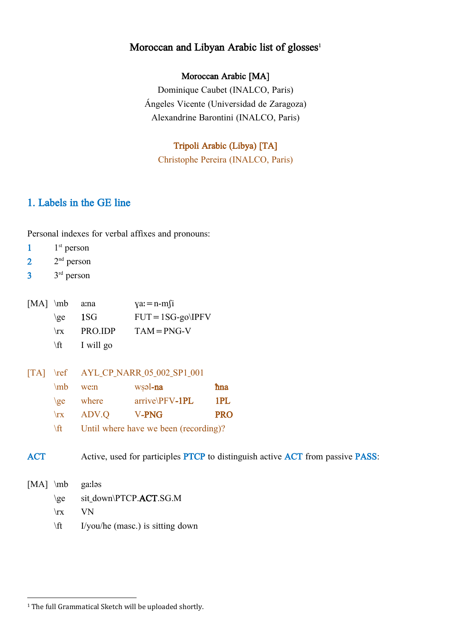# Moroccan and Libyan Arabic list of glosses<sup>1</sup>

# Moroccan Arabic [MA]

Dominique Caubet (INALCO, Paris) Ángeles Vicente (Universidad de Zaragoza) Alexandrine Barontini (INALCO, Paris)

# Tripoli Arabic (Libya) [TA]

Christophe Pereira (INALCO, Paris)

# 1. Labels in the GE line

Personal indexes for verbal affixes and pronouns:

- $1<sup>st</sup>$  person
- $2<sup>nd</sup>$  person
- $3<sup>rd</sup>$  person

| $[MA]$ \mb a:na |                     | $\gamma a = n-m$     |
|-----------------|---------------------|----------------------|
|                 | $\zeta$ and $\zeta$ | $FUT = 1SG-go\IP FV$ |
| $\mathbf{r}$    | PRO.IDP             | $TAM = PNG-V$        |
|                 | \ft I will go       |                      |

[TA] \ref AYL\_CP\_NARR\_05\_002\_SP1\_001

|              | $\mathsf{m}$ we:n  | wsəl <b>-na</b>  | <b>h</b> na |
|--------------|--------------------|------------------|-------------|
|              | $\langle$ ge where | $arrive\PPV-1PL$ | 1PL         |
| $\mathbf{x}$ | ADV.Q              | V-PNG            | <b>PRO</b>  |

\ft Until where have we been (recording)?

ACT Active, used for participles PTCP to distinguish active ACT from passive PASS:

[MA] \mb ga:ləs

- \ge sit\_down\PTCP.ACT.SG.M
- \rx VN
- \ft I/you/he (masc.) is sitting down

 $\overline{\phantom{a}}$ <sup>1</sup> The full Grammatical Sketch will be uploaded shortly.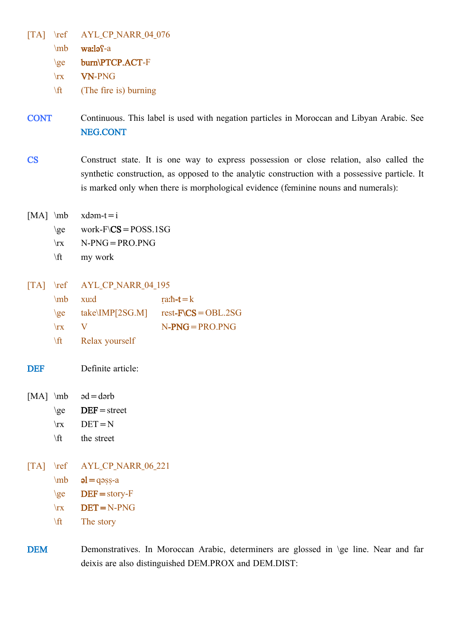[TA] \ref AYL\_CP\_NARR\_04\_076

\mb waːləʕ-a

\ge burn\PTCP.ACT-F

\rx VN-PNG

 $\forall$ ft (The fire is) burning

CONT Continuous. This label is used with negation particles in Moroccan and Libyan Arabic. See NEG.CONT

CS Construct state. It is one way to express possession or close relation, also called the synthetic construction, as opposed to the analytic construction with a possessive particle. It is marked only when there is morphological evidence (feminine nouns and numerals):

- [MA]  $mb$  xdəm-t=i
	- $\qquad \text{work-F}\text{CS} = \text{POSS}.1SG$
	- $\forall$ rx N-PNG = PRO.PNG
	- \ft my work
- [TA] \ref AYL\_CP\_NARR\_04\_195

|              | $\mathbf{m}$ xurd | ra: $\hbar$ - $\mathbf{t} = \mathbf{k}$              |
|--------------|-------------------|------------------------------------------------------|
| $\{$ ge $\}$ |                   | $take\text{MP}$ [2SG.M] rest- $F\text{CS} = OBL.2SG$ |
| $\mathbf{r}$ |                   | $N-PNG = PRO.PNG$                                    |

- \ft Relax yourself
- DEF Definite article:
- [MA]  $\infty$  əd = dərb
	- $\ge$  DEF = street
	- $\rrbracket$  DET = N
	- \ft the street
- [TA] \ref AYL CP NARR 06 221

 $\hbox{mb}$   $\mathbf{əl} = \text{qəsş-a}$ 

 $\geq$  DEF = story-F

- $\forall$ rx DET=N-PNG
- \ft The story

DEM Demonstratives. In Moroccan Arabic, determiners are glossed in \ge line. Near and far deixis are also distinguished DEM.PROX and DEM.DIST: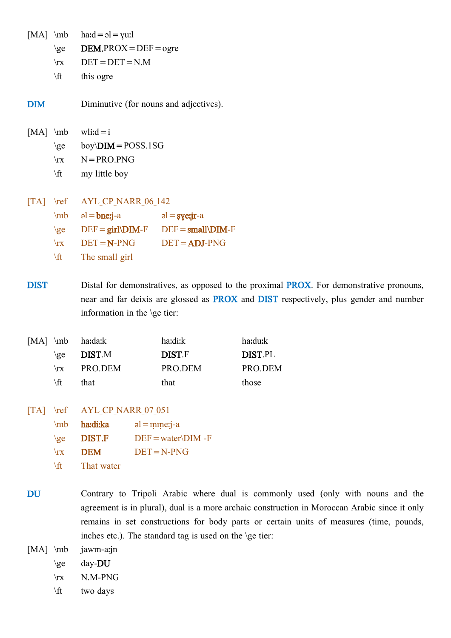|               | $[MA] \verb mb $                                        | $\text{had} = \rho = \text{g} = \text{g}$      |                    |
|---------------|---------------------------------------------------------|------------------------------------------------|--------------------|
|               | $\{ge\}$                                                | $DEM.PROX = DEF = ogre$                        |                    |
|               | $\mathbf{x}$                                            | $DET = DET = N.M$                              |                    |
|               | $\sqrt{t}$                                              | this ogre                                      |                    |
| $\mathbf{DM}$ |                                                         | Diminutive (for nouns and adjectives).         |                    |
|               |                                                         | [MA] \mb wli: $d=i$                            |                    |
|               |                                                         | \ge boy\DIM = POSS.1SG                         |                    |
|               |                                                         | $\forall$ rx $N = PRO.PNG$                     |                    |
|               | $\sqrt{t}$                                              | my little boy                                  |                    |
|               | $\begin{bmatrix} \text{TA} \\ \text{ref} \end{bmatrix}$ | AYL CP NARR 06 142                             |                    |
|               |                                                         | $mb = bne$ j-a                                 | $al = \frac{c}{2}$ |
|               | $\{ge\}$                                                | $DEF = girl\n DIM - F$ $DEF = small\n DIM - F$ |                    |
|               |                                                         | $\text{Tr}X$ DET = N-PNG                       | $DEF = ADJ-PNG$    |
|               | $\sqrt{t}$                                              | The small girl                                 |                    |
|               |                                                         |                                                |                    |

DIST Distal for demonstratives, as opposed to the proximal PROX. For demonstrative pronouns, near and far deixis are glossed as PROX and DIST respectively, plus gender and number information in the \ge tier:

|              | [MA] $\mb{$ ha:da:k | ha:di:k       | ha:du:k        |
|--------------|---------------------|---------------|----------------|
| $\chi$ ee    | <b>DIST</b> .M      | <b>DIST.F</b> | <b>DIST.PL</b> |
| $\mathbf{x}$ | PRO.DEM             | PRO.DEM       | PRO.DEM        |
| \ft.         | that                | that          | those          |

[TA] \ref AYL CP NARR 07 051

- \mb haːdiːka əl=ṃṃeːj-a  $\ge$  DIST.F DEF = water\DIM -F  $\forall$ rx **DEM** DET=N-PNG \ft That water
- DU Contrary to Tripoli Arabic where dual is commonly used (only with nouns and the agreement is in plural), dual is a more archaic construction in Moroccan Arabic since it only remains in set constructions for body parts or certain units of measures (time, pounds, inches etc.). The standard tag is used on the \ge tier:

[MA] \mb jawm-a:jn

- \ge day- $DU$
- $\forall$ rx N.M-PNG
- \ft two days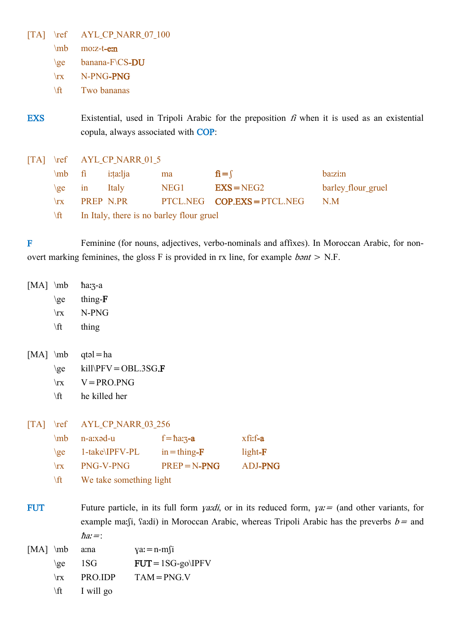[TA] \ref AYL\_CP\_NARR\_07\_100

\mb moːz-t-eːn

\ge banana-F\CS-DU

\rx N-PNG-PNG

\ft Two bananas

EXS Existential, used in Tripoli Arabic for the preposition  $f_i$  when it is used as an existential copula, always associated with COP:

[TA] \ref AYL\_CP\_NARR\_01\_5

| $\ln b$ fi   |                                          | <i>i</i> :ta:lja | ma   | $\hat{\mathbf{n}} = \hat{\mathbf{n}}$ | ba:zi:n            |  |  |  |
|--------------|------------------------------------------|------------------|------|---------------------------------------|--------------------|--|--|--|
| $\{$         | $\sin$                                   | Italy            | NEG1 | $EXS = NEG2$                          | barley_flour_gruel |  |  |  |
| $\mathbf{x}$ |                                          | <b>PREP N.PR</b> |      | $PTCL. NEG$ $COP.EXS = PTCL.NEG$      | N M                |  |  |  |
| \ft          | In Italy, there is no barley flour gruel |                  |      |                                       |                    |  |  |  |

F Feminine (for nouns, adjectives, verbo-nominals and affixes). In Moroccan Arabic, for nonovert marking feminines, the gloss F is provided in rx line, for example  $b$ *ant* > N.F.

| $[MA] \mb{\text{mb}}$ | \ge<br>$\mathbf{x}$<br>$\forall$ ft                                | $\hbar$ a: $\frac{7}{3}$ -a<br>thing- $F$<br>N-PNG<br>thing                               |                  |                                                                                                                                                                                                            |                                      |  |  |
|-----------------------|--------------------------------------------------------------------|-------------------------------------------------------------------------------------------|------------------|------------------------------------------------------------------------------------------------------------------------------------------------------------------------------------------------------------|--------------------------------------|--|--|
| $[MA] \mb{\in}$       | $\geq$<br>$\mathbf{x}$<br>\ft                                      | $qt = ha$<br>$kill$ \PFV = OBL.3SG.F<br>$V = PRO.PNG$<br>he killed her                    |                  |                                                                                                                                                                                                            |                                      |  |  |
| $\Gamma$ A            | $\lvert \mathbf{r} \rvert$<br>\mb<br>$\geq$<br>$\mathbf{x}$<br>\ft | AYL_CP_NARR_03_256<br>n-a:xəd-u<br>1-take\IPFV-PL<br>PNG-V-PNG<br>We take something light |                  | $f = \hbar a_3 - a$<br>$in = thing-F$<br>$PREP = N-PNG$                                                                                                                                                    | xfi:f-a<br>light-F<br><b>ADJ-PNG</b> |  |  |
| <b>FUT</b>            |                                                                    | $\hbar$ a: $=$ :                                                                          |                  | Future particle, in its full form <i>ya:di</i> , or in its reduced form, $ya =$ (and other variants, for<br>example ma: (ji, fa: di) in Moroccan Arabic, whereas Tripoli Arabic has the preverbs $b =$ and |                                      |  |  |
| $[MA]$ \mb            | \ge<br>$\mathbf{x}$<br>$\sqrt{t}$                                  | a:na<br>1SG<br>PRO.IDP<br>I will go                                                       | $\gamma a = n-m$ | $FUT = 1SG-go\IP FV$<br>$TAM = PNG.V$                                                                                                                                                                      |                                      |  |  |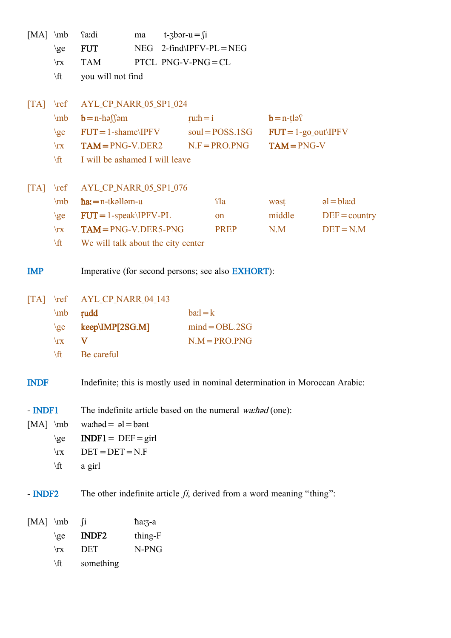| $[MA]$ \mb                                        | \ge                          | fa:di<br><b>FUT</b>                                       | ma<br><b>NEG</b> |  | $t\text{-}3$ bər-u = fi<br>$2$ -find\IPFV-PL = NEG                           |                        |                 |  |  |
|---------------------------------------------------|------------------------------|-----------------------------------------------------------|------------------|--|------------------------------------------------------------------------------|------------------------|-----------------|--|--|
|                                                   | $\mathbf{x}$                 | <b>TAM</b>                                                |                  |  | PTCL PNG-V-PNG=CL                                                            |                        |                 |  |  |
|                                                   | $\forall$ ft                 | you will not find                                         |                  |  |                                                                              |                        |                 |  |  |
|                                                   |                              |                                                           |                  |  |                                                                              |                        |                 |  |  |
| $\begin{bmatrix} \text{T} \text{A} \end{bmatrix}$ | $\lvert \mathbf{r} \rvert$   | AYL_CP_NARR_05_SP1_024                                    |                  |  |                                                                              |                        |                 |  |  |
|                                                   | $\mb{\text{mb}}$             | $b=n-h$ əssamı                                            |                  |  | ru: $\hbar = i$                                                              | $b = n - t \log$       |                 |  |  |
|                                                   | $\geq$                       | $FUT = 1$ -shame\IPFV                                     |                  |  | $soul = POSS.1SG$                                                            | $FUT = 1-go_out\IP FV$ |                 |  |  |
|                                                   | $\mathbf{x}$                 | $TAM = PNG-V.DER2$                                        |                  |  | $N.F = PRO.PNG$                                                              | $TAM = PNG-V$          |                 |  |  |
|                                                   | \ft                          | I will be ashamed I will leave                            |                  |  |                                                                              |                        |                 |  |  |
| $\lceil \text{TA} \rceil$                         | $\lvert \mathbf{ref} \rvert$ | AYL_CP_NARR_05_SP1_076                                    |                  |  |                                                                              |                        |                 |  |  |
|                                                   | \mb                          | $\hbar a = n$ -tkəlləm-u                                  |                  |  | <b>fla</b>                                                                   | wəst                   | $al = bla$      |  |  |
|                                                   | $\geq$                       | $FUT = 1$ -speak\IPFV-PL                                  |                  |  | on                                                                           | middle                 | $DEF = country$ |  |  |
|                                                   | $\mathbf{x}$                 | $TAM = PNG-V.DER5-PNG$                                    |                  |  | <b>PREP</b>                                                                  | N.M                    | $DEF = N.M$     |  |  |
|                                                   | \ft                          | We will talk about the city center                        |                  |  |                                                                              |                        |                 |  |  |
| <b>IMP</b>                                        |                              |                                                           |                  |  | Imperative (for second persons; see also <b>EXHORT</b> ):                    |                        |                 |  |  |
| $\begin{bmatrix} \text{T} \text{A} \end{bmatrix}$ | $\lvert \text{ref} \rvert$   | AYL_CP_NARR_04_143                                        |                  |  |                                                                              |                        |                 |  |  |
|                                                   | $\mb{\text{mb}}$             | rudd                                                      |                  |  | $barl = k$                                                                   |                        |                 |  |  |
|                                                   | $\geq$                       | keep\IMP[2SG.M]                                           |                  |  | $mind = OBL.2SG$                                                             |                        |                 |  |  |
|                                                   | $\mathbf{x}$                 | V                                                         |                  |  | $N.M = PRO.PNG$                                                              |                        |                 |  |  |
|                                                   | \ft                          | Be careful                                                |                  |  |                                                                              |                        |                 |  |  |
| <b>INDF</b>                                       |                              |                                                           |                  |  | Indefinite; this is mostly used in nominal determination in Moroccan Arabic: |                        |                 |  |  |
| - INDF1                                           |                              |                                                           |                  |  | The indefinite article based on the numeral wathod (one):                    |                        |                 |  |  |
| $[MA] \mb{\in}$                                   |                              | $\text{wa:} \text{had} = \text{al} = \text{b} \text{ant}$ |                  |  |                                                                              |                        |                 |  |  |
|                                                   | $\geq$                       | $IDIF1 = DEF = girl$                                      |                  |  |                                                                              |                        |                 |  |  |
|                                                   | $\mathbf{x}$                 | $DET = DET = N.F$                                         |                  |  |                                                                              |                        |                 |  |  |
|                                                   | $\forall$ ft                 | a girl                                                    |                  |  |                                                                              |                        |                 |  |  |
| $-$ INDF2                                         |                              |                                                           |                  |  | The other indefinite article $f_i$ , derived from a word meaning "thing":    |                        |                 |  |  |
| $[MA] \mb{\in}$                                   |                              | $\int$ i                                                  | ha:3-a           |  |                                                                              |                        |                 |  |  |
|                                                   | \ge                          | INDF <sub>2</sub>                                         | thing-F          |  |                                                                              |                        |                 |  |  |
|                                                   | $\mathbf{x}$                 | DET                                                       | N-PNG            |  |                                                                              |                        |                 |  |  |
|                                                   | $\sqrt{t}$                   | something                                                 |                  |  |                                                                              |                        |                 |  |  |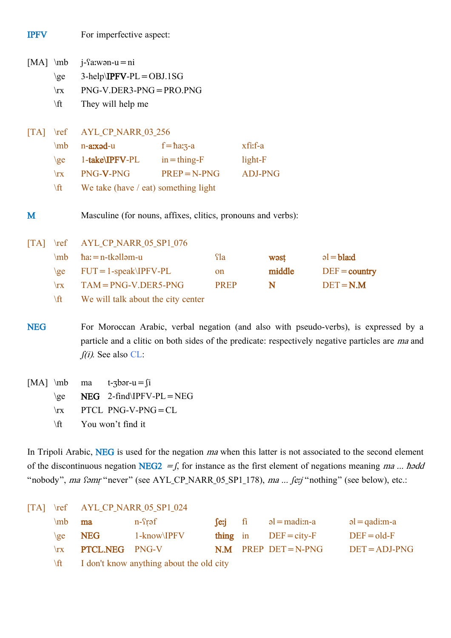| <b>IPFV</b>                                       |                                                                      | For imperfective aspect:                                                                                                                                                                                                 |                                                                 |                                 |                                      |                     |                                               |  |
|---------------------------------------------------|----------------------------------------------------------------------|--------------------------------------------------------------------------------------------------------------------------------------------------------------------------------------------------------------------------|-----------------------------------------------------------------|---------------------------------|--------------------------------------|---------------------|-----------------------------------------------|--|
| $[MA] \mb{\text{mb}}$                             | $\geq$<br>$\mathbf{x}$<br>$\forall$ ft                               | $i$ - $\Omega$ :wən-u = ni<br>$3-help\IP FV-PL=OBJ.1SG$<br>PNG-V.DER3-PNG = PRO.PNG<br>They will help me                                                                                                                 |                                                                 |                                 |                                      |                     |                                               |  |
| $\begin{bmatrix} \text{T} \text{A} \end{bmatrix}$ | $\lvert \mathbf{r} \rvert$<br>\mb<br>$\geq$<br>$\mathbf{x}$<br>\ft   | AYL_CP_NARR_03_256<br>n-axad-u<br>1-take\IPFV-PL<br>PNG-V-PNG<br>We take (have / eat) something light                                                                                                                    | $f = \hbar a \cdot 3 - a$<br>$in = thing - F$<br>$PREP = N-PNG$ |                                 | xfi:f-a<br>light-F<br><b>ADJ-PNG</b> |                     |                                               |  |
| M                                                 |                                                                      | Masculine (for nouns, affixes, clitics, pronouns and verbs):                                                                                                                                                             |                                                                 |                                 |                                      |                     |                                               |  |
| $\begin{bmatrix} \text{T} \text{A} \end{bmatrix}$ | $\lvert \mathbf{ref} \rvert$<br>\mb<br>$\geq$<br>$\mathbf{x}$<br>\ft | AYL_CP_NARR_05_SP1_076<br>$\hbar a = n$ -tkəlləm-u<br>$FUT = 1$ -speak\IPFV-PL<br>$TAM = PNG-V.DER5-PNG$<br>We will talk about the city center                                                                           |                                                                 | <b>Tla</b><br>on<br><b>PREP</b> |                                      | wəst<br>middle<br>N | $al = blad$<br>$DEF = country$<br>$DEF = N.M$ |  |
| <b>NEG</b>                                        |                                                                      | For Moroccan Arabic, verbal negation (and also with pseudo-verbs), is expressed by a<br>particle and a clitic on both sides of the predicate: respectively negative particles are <i>ma</i> and<br>$f(i)$ . See also CL: |                                                                 |                                 |                                      |                     |                                               |  |
| $[MA] \mb{\text{mb}}$                             |                                                                      | $t$ -3bər-u = fi<br>ma                                                                                                                                                                                                   |                                                                 |                                 |                                      |                     |                                               |  |

 $\ge$  NEG 2-find\IPFV-PL = NEG

\rx PTCL PNG-V-PNG=CL

\ft You won't find it

In Tripoli Arabic, NEG is used for the negation ma when this latter is not associated to the second element of the discontinuous negation NEG2 =  $f$ , for instance as the first element of negations meaning ma ... hedd "nobody", ma fəmr "never" (see AYL\_CP\_NARR\_05\_SP1\_178), ma ... fe:j "nothing" (see below), etc.:

#### [TA] \ref AYL\_CP\_NARR\_05\_SP1\_024

| $\mathbf{m}$ ma |                                                                                                                                                                                                                                          | n-frəf      |  | $\int$ eri fi əl = madi:n-a | $a = q$ adi:m-a |
|-----------------|------------------------------------------------------------------------------------------------------------------------------------------------------------------------------------------------------------------------------------------|-------------|--|-----------------------------|-----------------|
| $\{$            | NEG                                                                                                                                                                                                                                      | 1-know\IPFV |  | thing in $DEF = city-F$     | $DEF = old-F$   |
|                 | \rx <b>PTCL.NEG</b> PNG-V                                                                                                                                                                                                                |             |  | $N.M$ PREP DET=N-PNG        | $DEF = ADJ-PNG$ |
|                 | $\mathcal{L}(\mathbf{A})$ . The set of the set of the set of the set of the set of the set of the set of the set of the set of the set of the set of the set of the set of the set of the set of the set of the set of the set of the se |             |  |                             |                 |

\ft I don't know anything about the old city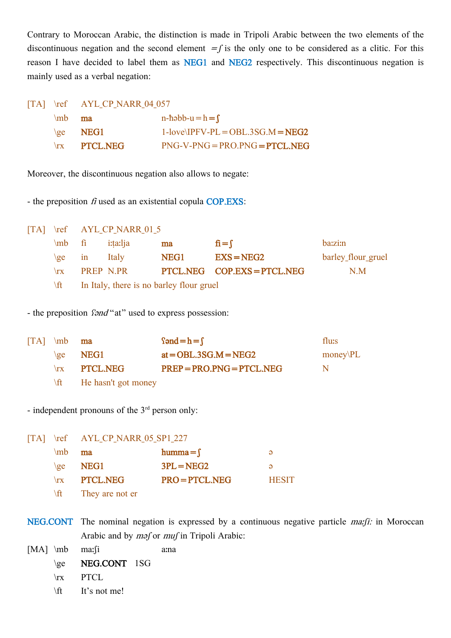Contrary to Moroccan Arabic, the distinction is made in Tripoli Arabic between the two elements of the discontinuous negation and the second element  $=$ f is the only one to be considered as a clitic. For this reason I have decided to label them as NEG1 and NEG2 respectively. This discontinuous negation is mainly used as a verbal negation:

|                 | [TA] $\ref$ AYL CP NARR 04 057 |                                      |
|-----------------|--------------------------------|--------------------------------------|
| $\mathsf{m}$ ma |                                | $n-h=bb-u=h=f$                       |
|                 | $\{ge$ NEG1                    | $1$ -love\IPFV-PL = OBL.3SG.M = NEG2 |
|                 | $\forall$ rx PTCL.NEG          | $PNG-V-PNG = PRO.PNG = PTCL. NEG$    |

Moreover, the discontinuous negation also allows to negate:

- the preposition  $f_i$  used as an existential copula COP.EXS:

[TA] \ref AYL CP\_NARR\_01\_5

| $\ln b$ fi                                                                                                                                                                                                                  | i:ta:lja                                 | ma   | $\mathbf{f} = \int$       | ba:zi:n            |  |  |  |  |
|-----------------------------------------------------------------------------------------------------------------------------------------------------------------------------------------------------------------------------|------------------------------------------|------|---------------------------|--------------------|--|--|--|--|
| $\{$ $\}$ $\{$ $\}$ $\{$ $\}$ $\{$ $\}$ $\{$ $\}$ $\{$ $\}$ $\{$ $\}$ $\{$ $\}$ $\{$ $\}$ $\{$ $\}$ $\{$ $\}$ $\{$ $\}$ $\{$ $\}$ $\{$ $\}$ $\{$ $\}$ $\{$ $\}$ $\{$ $\}$ $\{$ $\}$ $\{$ $\}$ $\{$ $\}$ $\{$ $\}$ $\{$ $\}$ | <b>Italy</b>                             | NEG1 | $EXS = NEG2$              | barley_flour_gruel |  |  |  |  |
| $\mathbf{r}$                                                                                                                                                                                                                | <b>PREP N.PR</b>                         |      | PTCL.NEG COP.EXS=PTCL.NEG | N.M                |  |  |  |  |
| $\sqrt{t}$                                                                                                                                                                                                                  | In Italy, there is no barley flour gruel |      |                           |                    |  |  |  |  |

- the preposition *fand* "at" used to express possession:

| $\begin{bmatrix} \text{TA} \end{bmatrix}$ \mb <b>ma</b> |                                  | fond $= h = f$              | flu:s    |
|---------------------------------------------------------|----------------------------------|-----------------------------|----------|
|                                                         | $\{ge$ NEG1                      | $at = OBL.3SG.M = NEG2$     | money PL |
| $\Gamma$                                                | <b>PTCL.NEG</b>                  | $PREP = PRO.PNG = PTCL.NEG$ | N.       |
|                                                         | $\forall$ ft He hasn't got money |                             |          |

- independent pronouns of the  $3<sup>rd</sup>$  person only:

[TA] \ref AYL CP\_NARR\_05\_SP1\_227  $\mu$  ma humma= $\int$   $\omega$  $\ge$  NEG1 3PL=NEG2  $\ge$  $\forall$ rx PTCL.NEG PRO=PTCL.NEG HESIT \ft They are not er

NEG.CONT The nominal negation is expressed by a continuous negative particle *ma: fi*: in Moroccan Arabic and by *m*ǝf or *muf* in Tripoli Arabic:

[MA] \mb ma: \ii a.na \ge **NEG.CONT** 1SG \rx PTCL

\ft It's not me!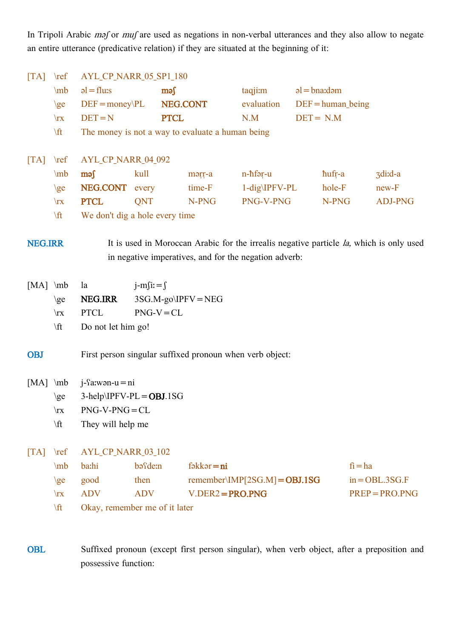In Tripoli Arabic maf or muf are used as negations in non-verbal utterances and they also allow to negate an entire utterance (predicative relation) if they are situated at the beginning of it:

| AYL_CP_NARR_05_SP1_180<br>$\lfloor TA \rfloor$<br>$\lvert \text{ref} \rvert$ |                            |                                |                |              |                                                  |                                                                                         |                  |                       |                  |
|------------------------------------------------------------------------------|----------------------------|--------------------------------|----------------|--------------|--------------------------------------------------|-----------------------------------------------------------------------------------------|------------------|-----------------------|------------------|
|                                                                              | $\mb{\text{mb}}$           | $\mathsf{al} = \mathsf{flux}$  |                | $\mathbf{m}$ |                                                  | taqjim                                                                                  | $al = bna$ : dəm |                       |                  |
|                                                                              | $\geq$                     | $DEF = money\PL$               |                | NEG.CONT     |                                                  | evaluation                                                                              |                  | $DEF = human\, being$ |                  |
|                                                                              | $\mathbf{x}$               | $DEF = N$                      |                | <b>PTCL</b>  |                                                  | N.M                                                                                     | $DEF = N.M$      |                       |                  |
|                                                                              | \ft                        |                                |                |              | The money is not a way to evaluate a human being |                                                                                         |                  |                       |                  |
|                                                                              |                            |                                |                |              |                                                  |                                                                                         |                  |                       |                  |
| $\lfloor TA \rfloor$                                                         | $\lvert \mathbf{r} \rvert$ | AYL_CP_NARR_04_092             |                |              |                                                  |                                                                                         |                  |                       |                  |
|                                                                              | $\mb{m}$                   | məs                            | kull           |              | marr-a                                           | n-hfər-u                                                                                |                  | hufr-a                | 3di:d-a          |
|                                                                              | $\geq$                     | NEG.CONT every                 |                |              | time-F                                           | $1-dig\IP FV-PL$                                                                        |                  | hole-F                | $new-F$          |
|                                                                              | $\mathbf{x}$               | <b>PTCL</b>                    | QNT            |              | N-PNG                                            | PNG-V-PNG                                                                               |                  | N-PNG                 | <b>ADJ-PNG</b>   |
|                                                                              | \ft                        | We don't dig a hole every time |                |              |                                                  |                                                                                         |                  |                       |                  |
| <b>NEG.IRR</b>                                                               |                            |                                |                |              |                                                  | It is used in Moroccan Arabic for the irrealis negative particle la, which is only used |                  |                       |                  |
|                                                                              |                            |                                |                |              |                                                  | in negative imperatives, and for the negation adverb:                                   |                  |                       |                  |
|                                                                              |                            |                                |                |              |                                                  |                                                                                         |                  |                       |                  |
| $[MA]$ \mb                                                                   |                            | la                             | $j-m$ fi: $=j$ |              |                                                  |                                                                                         |                  |                       |                  |
|                                                                              | $\geq$                     | NEG.IRR                        |                |              | $3SG.M-go\IP FV = NEG$                           |                                                                                         |                  |                       |                  |
|                                                                              | $\mathbf{x}$               | <b>PTCL</b>                    | $PNG-V = CL$   |              |                                                  |                                                                                         |                  |                       |                  |
|                                                                              | $\sqrt{t}$                 | Do not let him go!             |                |              |                                                  |                                                                                         |                  |                       |                  |
|                                                                              |                            |                                |                |              |                                                  |                                                                                         |                  |                       |                  |
| <b>OBJ</b>                                                                   |                            |                                |                |              |                                                  | First person singular suffixed pronoun when verb object:                                |                  |                       |                  |
| $[MA] \mb{\in}$                                                              |                            | $j$ - $\Omega$ :wən-u = ni     |                |              |                                                  |                                                                                         |                  |                       |                  |
|                                                                              | $\geq$                     | $3-help\IP FV-PL=OBJ.1SG$      |                |              |                                                  |                                                                                         |                  |                       |                  |
|                                                                              | $\mathbf{x}$               | $PNG-V-PNG=CL$                 |                |              |                                                  |                                                                                         |                  |                       |                  |
|                                                                              | $\sqrt{t}$                 | They will help me              |                |              |                                                  |                                                                                         |                  |                       |                  |
|                                                                              |                            |                                |                |              |                                                  |                                                                                         |                  |                       |                  |
| $\lfloor TA \rfloor$                                                         | $\lvert \mathbf{r} \rvert$ | AYL_CP_NARR_03_102             |                |              |                                                  |                                                                                         |                  |                       |                  |
|                                                                              | \mb                        | ba:hi                          | basde:n        |              | $f$ əkkər $=$ ni                                 |                                                                                         |                  | $fi = ha$             |                  |
|                                                                              | $\geq$                     | good                           | then           |              |                                                  | remember\IMP[2SG.M] = $OBJ.1SG$                                                         |                  |                       | $in = OBL.3SG.F$ |
|                                                                              | $\mathbf{x}$               | <b>ADV</b>                     | <b>ADV</b>     |              | $V.DER2 = PRO.PNG$                               |                                                                                         |                  |                       | $PREP = PRO.PNG$ |
|                                                                              | \ft                        | Okay, remember me of it later  |                |              |                                                  |                                                                                         |                  |                       |                  |
|                                                                              |                            |                                |                |              |                                                  |                                                                                         |                  |                       |                  |

OBL Suffixed pronoun (except first person singular), when verb object, after a preposition and possessive function: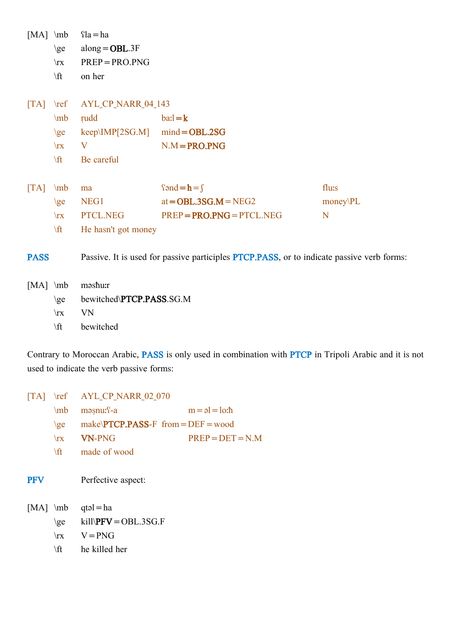| $[MA]$ \mb                                        | $\geq$<br>$\mathbf{x}$     | $\Omega = ha$<br>$along = OBL.3F$<br>$PREP = PRO.PNG$ |                                                                                                   |          |
|---------------------------------------------------|----------------------------|-------------------------------------------------------|---------------------------------------------------------------------------------------------------|----------|
|                                                   | $\forall$ ft               | on her                                                |                                                                                                   |          |
| $\lfloor TA \rfloor$                              | $\lvert \mathbf{r} \rvert$ | AYL_CP_NARR_04_143                                    |                                                                                                   |          |
|                                                   | \mb                        | rudd                                                  | $bai = k$                                                                                         |          |
|                                                   | $\zeta$                    | $keep\backslash$ IMP[2SG.M] mind=OBL.2SG              |                                                                                                   |          |
|                                                   | $\mathbf{x}$               | V                                                     | $N.M = PRO.PNG$                                                                                   |          |
|                                                   | \ft                        | Be careful                                            |                                                                                                   |          |
|                                                   |                            |                                                       |                                                                                                   |          |
| $\begin{bmatrix} \text{T} \text{A} \end{bmatrix}$ | $\mb{\text{mb}}$           | ma                                                    | f $= h = f$                                                                                       | flu:s    |
|                                                   | $\gtrsim$                  | NEG1                                                  | $at = OBL.3SG.M = NEG2$                                                                           | money\PL |
|                                                   | $\mathbf{x}$               | PTCL.NEG                                              | $PREP = PRO.PNG = PTCL.NEG$                                                                       | N        |
|                                                   | \ft                        | He hasn't got money                                   |                                                                                                   |          |
| <b>PASS</b>                                       |                            |                                                       | Passive. It is used for passive participles <b>PTCP.PASS</b> , or to indicate passive verb forms: |          |
| $[MA]$ \mb                                        | $\geq$                     | məshur<br>bewitched\PTCP.PASS.SG.M                    |                                                                                                   |          |
|                                                   | $\mathbf{x}$               | <b>VN</b>                                             |                                                                                                   |          |
|                                                   | $\forall$ ft               | bewitched                                             |                                                                                                   |          |
|                                                   |                            |                                                       |                                                                                                   |          |

Contrary to Moroccan Arabic, PASS is only used in combination with PTCP in Tripoli Arabic and it is not used to indicate the verb passive forms:

| $\lceil TA \rceil$ | $\lvert \mathbf{r} \rvert$                     | <b>AYL CP NARR 02 070</b>                                                   |                               |  |
|--------------------|------------------------------------------------|-----------------------------------------------------------------------------|-------------------------------|--|
|                    | $\mb{\text{mb}}$                               | $məsnu:$ <sup>2-a</sup>                                                     | $m = \rho l = l \rho_l \hbar$ |  |
|                    | $\{$                                           | $make\text{PTCP.PASS-F}$ from = DEF = wood                                  |                               |  |
|                    | $\sqrt{TX}$                                    | <b>VN-PNG</b>                                                               | $PREP = DET = N.M$            |  |
|                    | $\sqrt{t}$                                     | made of wood                                                                |                               |  |
| <b>PFV</b>         |                                                | Perfective aspect:                                                          |                               |  |
|                    | $[MA] \infty$<br>$\geq$<br>$\mathbf{x}$<br>\ft | $qt = ha$<br>$kill$ <b>\PFV</b> = $OBL.3SG.F$<br>$V = PNG$<br>he killed her |                               |  |
|                    |                                                |                                                                             |                               |  |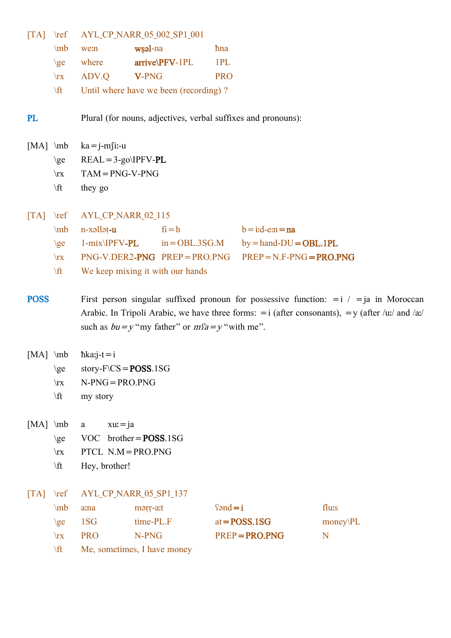| $\begin{bmatrix} \text{T} \text{A} \end{bmatrix}$ | $\lvert \mathbf{ref} \rvert$ |                                                               | AYL_CP_NARR_05_002_SP1_001                            |                                                                                                      |  |  |
|---------------------------------------------------|------------------------------|---------------------------------------------------------------|-------------------------------------------------------|------------------------------------------------------------------------------------------------------|--|--|
|                                                   | \mb                          | we:n                                                          | wsal-na                                               | <i>hna</i>                                                                                           |  |  |
|                                                   | $\geq$                       | where                                                         | arrive\PFV-1PL                                        | 1PL                                                                                                  |  |  |
|                                                   | $\mathbf{x}$                 | ADV.Q                                                         | V-PNG                                                 | <b>PRO</b>                                                                                           |  |  |
|                                                   | \ft                          |                                                               | Until where have we been (recording)?                 |                                                                                                      |  |  |
| PL                                                |                              | Plural (for nouns, adjectives, verbal suffixes and pronouns): |                                                       |                                                                                                      |  |  |
| $[MA] \mb{\in}$                                   |                              | $ka = j-m$ fi:-u                                              |                                                       |                                                                                                      |  |  |
|                                                   | $\geq$                       | $REAL = 3-go\IP FV-PL$                                        |                                                       |                                                                                                      |  |  |
|                                                   | $\mathbf{x}$                 | $TAM = PNG-V-PNG$                                             |                                                       |                                                                                                      |  |  |
|                                                   | $\sqrt{t}$                   | they go                                                       |                                                       |                                                                                                      |  |  |
|                                                   |                              |                                                               |                                                       |                                                                                                      |  |  |
| $\begin{bmatrix} \text{T} \text{A} \end{bmatrix}$ | $\lvert \mathbf{r} \rvert$   | AYL_CP_NARR_02_115                                            |                                                       |                                                                                                      |  |  |
|                                                   | \mb                          | n-xəllət-u                                                    | $fi = h$                                              | $b = i.d$ -e:n = na                                                                                  |  |  |
|                                                   | $\geq$                       | $1-mix\IP FV-PL$                                              | $in = OBL.3SG.M$                                      | $by =$ hand- $DU =$ OBL.1PL                                                                          |  |  |
|                                                   | $\mathbf{x}$                 |                                                               | $PNG-V.DER2-PNG$ $PREF=PRO.PNG$                       | $PREP = N.F-PNG = PRO.PNG$                                                                           |  |  |
|                                                   | \ft                          |                                                               | We keep mixing it with our hands                      |                                                                                                      |  |  |
|                                                   |                              |                                                               |                                                       |                                                                                                      |  |  |
| <b>POSS</b>                                       |                              |                                                               |                                                       | First person singular suffixed pronoun for possessive function: $=$ i $/$ $=$ ja in Moroccan         |  |  |
|                                                   |                              |                                                               |                                                       | Arabic. In Tripoli Arabic, we have three forms: $=$ i (after consonants), $=$ y (after /uː/ and /aː/ |  |  |
|                                                   |                              |                                                               | such as $bu = y$ "my father" or $mfa = y$ " with me". |                                                                                                      |  |  |
|                                                   |                              |                                                               |                                                       |                                                                                                      |  |  |
| $[MA] \mb{\in}$                                   |                              | $h$ ka: $j-t = i$                                             |                                                       |                                                                                                      |  |  |
|                                                   | $\geq$                       | story- $F\setminus CS = POSS.1SG$                             |                                                       |                                                                                                      |  |  |
|                                                   | $\mathbf{x}$                 | $N-PNG = PRO.PNG$                                             |                                                       |                                                                                                      |  |  |
|                                                   | \ft                          | my story                                                      |                                                       |                                                                                                      |  |  |
|                                                   |                              |                                                               |                                                       |                                                                                                      |  |  |

[MA] \mb a xuː=ja

- \ge VOC brother=**POSS**.1SG
- \rx PTCL N.M=PRO.PNG
- \ft Hey, brother!
- [TA] \ref AYL\_CP\_NARR\_05\_SP1\_137

| $\ln b$      | a:na       | morr-a:t                    | $\text{Sond} = i$ | flu:s    |
|--------------|------------|-----------------------------|-------------------|----------|
| $\chi$       | 1SG        | time-PL.F                   | $at = POSS.1SG$   | money PL |
| $\mathbf{x}$ | <b>PRO</b> | N-PNG                       | $PREP = PRO.PNG$  |          |
| \ft.         |            | Me, sometimes, I have money |                   |          |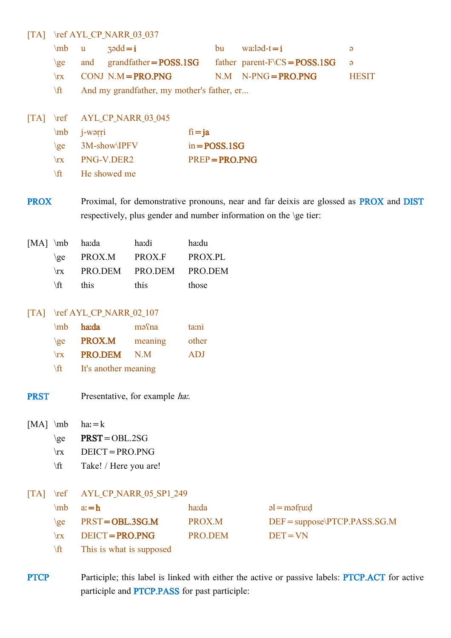#### [TA] \ref AYL\_CP\_NARR\_03\_037

|  | $\ln b$ u zədd $=i$                                                     | bu wa: $\log t = i$     |              |
|--|-------------------------------------------------------------------------|-------------------------|--------------|
|  | $\geq$ and grandfather=POSS.1SG father parent-F $\text{CS}$ =POSS.1SG a |                         |              |
|  | $\forall$ rx CONJ N.M= <b>PRO.PNG</b>                                   | $N.M$ $N-PNG = PRO.PNG$ | <b>HESIT</b> |
|  | $\forall$ ft $\qquad$ And my grandfather my mother's father er          |                         |              |

\ft And my grandfather, my mother's father, er...

|              | [TA] \ref AYL_CP_NARR 03 045 |                  |
|--------------|------------------------------|------------------|
|              | $mb$ <i>j</i> -warri         | $fi = ja$        |
| $\{$         | 3M-show\IPFV                 | $in = POSS.1SG$  |
| $\mathbf{r}$ | PNG-V.DER2                   | $PREP = PRO.PNG$ |
| <b>\ft</b>   | He showed me                 |                  |

PROX Proximal, for demonstrative pronouns, near and far deixis are glossed as **PROX** and **DIST** respectively, plus gender and number information on the \ge tier:

|              | [MA] \mb ha:da      | ha:di                   | ha:du   |
|--------------|---------------------|-------------------------|---------|
|              | $\langle$ ge PROX.M | PROX.F                  | PROX.PL |
| $\mathbf{x}$ |                     | PRO.DEM PRO.DEM PRO.DEM |         |
| \ft.         | this                | this                    | those   |

#### [TA] \ref AYL\_CP\_NARR\_02\_107

| $\mb{\text{mb}}$ | ha:da                | mə <sup>c</sup> na | ta:ni      |
|------------------|----------------------|--------------------|------------|
| $\{ge\}$         | PROX.M               | meaning            | other      |
| $\mathbf{x}$     | <b>PRO.DEM</b>       | N.M                | <b>ADJ</b> |
| ∆ft.             | It's another meaning |                    |            |

**PRST** Presentative, for example has

 $[MA] \mb{m}$  ha:=k

- $\ge$  PRST=OBL.2SG
- \rx DEICT=PRO.PNG
- \ft Take! / Here you are!
- [TA] \ref AYL CP\_NARR\_05\_SP1\_249

|              | $\mb{a} = \bm{h}$                                                                                                                                                                                                                                                                                                                                                             | ha:da   | $al = m$ əfru $d$                |
|--------------|-------------------------------------------------------------------------------------------------------------------------------------------------------------------------------------------------------------------------------------------------------------------------------------------------------------------------------------------------------------------------------|---------|----------------------------------|
|              | $\geq$ PRST=OBL.3SG.M                                                                                                                                                                                                                                                                                                                                                         | PROX.M  | $DEF = suppose \PT CP.PASS.SG.M$ |
| $\mathbf{r}$ | $DEICT = PRO.PNG$                                                                                                                                                                                                                                                                                                                                                             | PRO.DEM | $DEF = VN$                       |
|              | $\mathcal{L}(\mathcal{O})$ and $\mathcal{L}(\mathcal{O})$ and $\mathcal{L}(\mathcal{O})$ and $\mathcal{L}(\mathcal{O})$ and $\mathcal{L}(\mathcal{O})$ and $\mathcal{L}(\mathcal{O})$ and $\mathcal{L}(\mathcal{O})$ and $\mathcal{L}(\mathcal{O})$ and $\mathcal{L}(\mathcal{O})$ and $\mathcal{L}(\mathcal{O})$ and $\mathcal{L}(\mathcal{O})$ and $\mathcal{L}(\mathcal{O$ |         |                                  |

 $\lfloor \text{ft} \rfloor$  This is what is supposed

PTCP Participle; this label is linked with either the active or passive labels: PTCP.ACT for active participle and PTCP.PASS for past participle: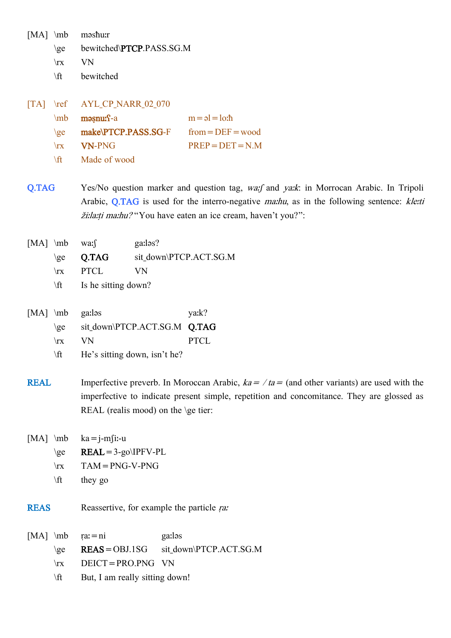[MA] \mb məsħuːr

- \ge bewitched\PTCP.PASS.SG.M
- \rx VN
- \ft bewitched

|            | [TA] \ref AYL CP NARR 02 070 |                                   |
|------------|------------------------------|-----------------------------------|
|            | $mb$ məsnu: $f - a$          | $m = \rho l = l \rho \cdot \hbar$ |
| $\{$       | make\PTCP.PASS.SG-F          | $from = DEF = wood$               |
|            | $\mathbf{V}$ VN-PNG          | $PREP = DET = N.M$                |
| <b>\ff</b> | Made of wood                 |                                   |

- Q.TAG Yes/No question marker and question tag, wa:f and ya:k: in Morrocan Arabic. In Tripoli Arabic, Q.TAG is used for the interro-negative *ma:hu*, as in the following sentence: kle:ti žiːlaːṭi maːhu? "You have eaten an ice cream, haven't you?":
- [MA] \mb wa: f ga:los? \ge **Q.TAG** sit\_down\PTCP.ACT.SG.M \rx PTCL VN
	- \ft Is he sitting down?

| $[MA]$ \mb ga:las |                              | ya:k? |
|-------------------|------------------------------|-------|
| $\langle$ ge      | sit down\PTCP.ACT.SG.M Q.TAG |       |
| $\mathbf{x}$      | VN.                          | PTCL  |
| $\forall$ ft      | He's sitting down, isn't he? |       |

**REAL** Imperfective preverb. In Moroccan Arabic,  $ka = / ta =$  (and other variants) are used with the imperfective to indicate present simple, repetition and concomitance. They are glossed as REAL (realis mood) on the \ge tier:

[MA]  $\mb{ka} = \bm{i} - \bm{m}$ [i:-u

- $\ge$  REAL=3-go\IPFV-PL
- $\forall$ rx TAM = PNG-V-PNG
- $\text{they go}$
- REAS Reassertive, for example the particle range-
- [MA] \mb ṛaː=ni gaːləs \ge REAS=OBJ.1SG sit\_down\PTCP.ACT.SG.M \rx DEICT=PRO.PNG VN \ft But, I am really sitting down!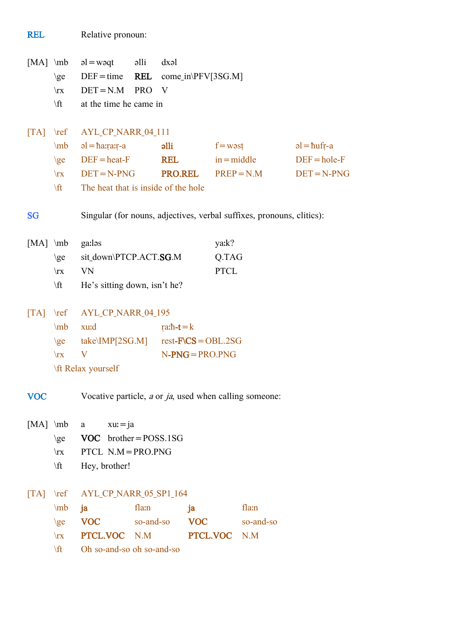| $[MA] \mb{\in}$                                   |                                           | $al = w$                                   | əlli       | dx                                        |                    |                                                                       |                     |
|---------------------------------------------------|-------------------------------------------|--------------------------------------------|------------|-------------------------------------------|--------------------|-----------------------------------------------------------------------|---------------------|
|                                                   | $\geq$                                    | $DEF = time$                               | REL        |                                           | come_in\PFV[3SG.M] |                                                                       |                     |
|                                                   | $\mathbf{x}$                              | $DET = N.M$                                | <b>PRO</b> | V                                         |                    |                                                                       |                     |
|                                                   | $\sqrt{t}$                                | at the time he came in                     |            |                                           |                    |                                                                       |                     |
|                                                   |                                           |                                            |            |                                           |                    |                                                                       |                     |
|                                                   | $\begin{bmatrix} \text{TA} \end{bmatrix}$ | AYL_CP_NARR_04_111                         |            |                                           |                    |                                                                       |                     |
|                                                   | $\mb{\text{mb}}$                          | $a = h \cdot a$ alli                       |            |                                           |                    | $f = w \circ st$                                                      | $al = \hbar u$ fr-a |
|                                                   | $\geq$                                    | $DEF = heat-F$                             |            | <b>REL</b>                                |                    | $in = middle$                                                         | $DEF = hole-F$      |
|                                                   | $\mathbf{x}$                              | $DEF = N-PNG$                              |            | <b>PRO.REL</b>                            |                    | $PREF=N.M$                                                            | $DEF = N-PNG$       |
|                                                   | \ft                                       | The heat that is inside of the hole        |            |                                           |                    |                                                                       |                     |
|                                                   |                                           |                                            |            |                                           |                    |                                                                       |                     |
| <b>SG</b>                                         |                                           |                                            |            |                                           |                    | Singular (for nouns, adjectives, verbal suffixes, pronouns, clitics): |                     |
| $[MA] \mb{\in}$                                   |                                           | ga:ləs                                     |            |                                           | ya:k?              |                                                                       |                     |
|                                                   | $\geq$                                    | sit_down\PTCP.ACT.SG.M                     |            |                                           |                    | Q.TAG                                                                 |                     |
|                                                   | $\mathbf{x}$                              | VN                                         |            |                                           | <b>PTCL</b>        |                                                                       |                     |
|                                                   | $\sqrt{t}$                                | He's sitting down, isn't he?               |            |                                           |                    |                                                                       |                     |
|                                                   |                                           |                                            |            |                                           |                    |                                                                       |                     |
|                                                   |                                           | AYL_CP_NARR_04_195                         |            |                                           |                    |                                                                       |                     |
|                                                   | $\mb{\text{mb}}$                          | xu:d                                       |            | ra: $\hbar$ - $\mathbf{t}$ = $\mathbf{k}$ |                    |                                                                       |                     |
|                                                   |                                           | $\geq$ take\IMP[2SG.M] rest-F\CS = OBL.2SG |            |                                           |                    |                                                                       |                     |
|                                                   | $\mathbf{x}$                              | $\mathbf V$                                |            |                                           | $N-PNG = PRO.PNG$  |                                                                       |                     |
|                                                   |                                           | \ft Relax yourself                         |            |                                           |                    |                                                                       |                     |
|                                                   |                                           |                                            |            |                                           |                    |                                                                       |                     |
| <b>VOC</b>                                        |                                           |                                            |            |                                           |                    | Vocative particle, <i>a</i> or <i>ja</i> , used when calling someone: |                     |
| $[MA] \mb{\text{mb}}$                             |                                           | $xu = ja$<br>a                             |            |                                           |                    |                                                                       |                     |
|                                                   | $\geq$                                    | $VOC$ brother = POSS.1SG                   |            |                                           |                    |                                                                       |                     |
|                                                   | $\mathbf{x}$                              | PTCL $N.M = PRO.PNG$                       |            |                                           |                    |                                                                       |                     |
|                                                   | $\sqrt{t}$                                | Hey, brother!                              |            |                                           |                    |                                                                       |                     |
|                                                   |                                           |                                            |            |                                           |                    |                                                                       |                     |
| $\begin{bmatrix} \text{T} \text{A} \end{bmatrix}$ | $\lvert \mathbf{r} \rvert$                | AYL_CP_NARR_05_SP1_164                     |            |                                           |                    |                                                                       |                     |
|                                                   | \mb                                       | ja                                         | fla:n      |                                           | ja                 | fla:n                                                                 |                     |
|                                                   | $\geq$                                    | <b>VOC</b>                                 | so-and-so  |                                           | <b>VOC</b>         | so-and-so                                                             |                     |
|                                                   | $\mathbf{x}$                              | PTCL.VOC N.M                               |            |                                           | PTCL.VOC N.M       |                                                                       |                     |
|                                                   | \ft                                       | Oh so-and-so oh so-and-so                  |            |                                           |                    |                                                                       |                     |

REL Relative pronoun: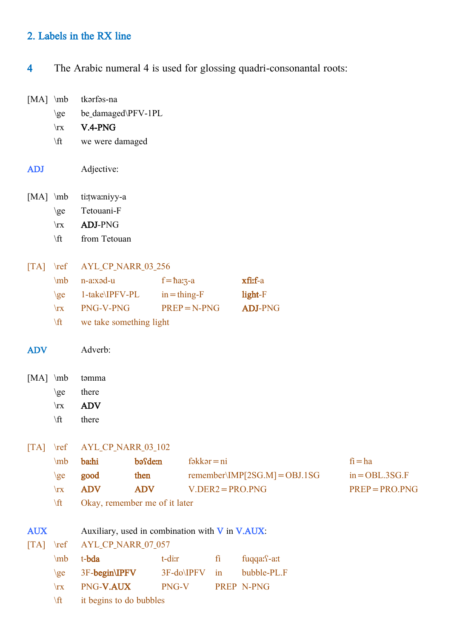# 2. Labels in the RX line

4 The Arabic numeral 4 is used for glossing quadri-consonantal roots:

| $[MA] \mb{\text{mb}}$                             |                            | tkarfas-na                                      |            |                     |                |    |                               |                  |
|---------------------------------------------------|----------------------------|-------------------------------------------------|------------|---------------------|----------------|----|-------------------------------|------------------|
|                                                   | $\geq$                     | be_damaged\PFV-1PL                              |            |                     |                |    |                               |                  |
|                                                   | $\mathbf{x}$               | V.4-PNG                                         |            |                     |                |    |                               |                  |
|                                                   | \ft                        | we were damaged                                 |            |                     |                |    |                               |                  |
| <b>ADJ</b>                                        |                            | Adjective:                                      |            |                     |                |    |                               |                  |
| $[MA] \mb{\text{mb}}$                             |                            | ti:twa:niyy-a                                   |            |                     |                |    |                               |                  |
|                                                   | $\geq$                     | Tetouani-F                                      |            |                     |                |    |                               |                  |
|                                                   | $\mathbf{x}$               | <b>ADJ-PNG</b>                                  |            |                     |                |    |                               |                  |
|                                                   | $\sqrt{t}$                 | from Tetouan                                    |            |                     |                |    |                               |                  |
| $\lfloor TA \rfloor$                              | $\lvert \text{ref} \rvert$ | AYL_CP_NARR_03_256                              |            |                     |                |    |                               |                  |
|                                                   | \mb                        | n-a:xəd-u                                       |            | $f = \hbar a_3 - a$ |                |    | xfi:f-a                       |                  |
|                                                   | $\geq$                     | 1-take\IPFV-PL                                  |            | $in = thing - F$    |                |    | light-F                       |                  |
|                                                   | $\mathbf{x}$               | PNG-V-PNG                                       |            |                     | $PREP = N-PNG$ |    | <b>ADJ-PNG</b>                |                  |
|                                                   | \ft                        | we take something light                         |            |                     |                |    |                               |                  |
| <b>ADV</b>                                        |                            | Adverb:                                         |            |                     |                |    |                               |                  |
| $[MA]$ \mb                                        |                            | təmma                                           |            |                     |                |    |                               |                  |
|                                                   | $\geq$                     | there                                           |            |                     |                |    |                               |                  |
|                                                   | $\mathbf{x}$               | <b>ADV</b>                                      |            |                     |                |    |                               |                  |
|                                                   | $\forall$ ft               | there                                           |            |                     |                |    |                               |                  |
| $\begin{bmatrix} \text{T} \text{A} \end{bmatrix}$ | $\lvert \mathbf{r} \rvert$ | AYL_CP_NARR_03_102                              |            |                     |                |    |                               |                  |
|                                                   | $\mb{\text{mb}}$           | ba:hi                                           | basdem     |                     | $f$ əkkər = ni |    |                               | $fi = ha$        |
|                                                   | $\geq$                     | good                                            | then       |                     |                |    | remember\IMP[2SG.M] = OBJ.1SG | $in = OBL.3SG.F$ |
|                                                   | $\mathbf{x}$               | <b>ADV</b>                                      | <b>ADV</b> |                     |                |    | $V.DER2 = PRO.PNG$            | $PREP = PRO.PNG$ |
|                                                   | \ft                        | Okay, remember me of it later                   |            |                     |                |    |                               |                  |
| <b>AUX</b>                                        |                            | Auxiliary, used in combination with V in V.AUX: |            |                     |                |    |                               |                  |
| $\begin{bmatrix} \text{T} \text{A} \end{bmatrix}$ | $\lvert \text{ref} \rvert$ | AYL_CP_NARR_07_057                              |            |                     |                |    |                               |                  |
|                                                   | $\mb{\text{mb}}$           | t-bda                                           |            | t-dir               |                | fi | fuqqa: f-a:t                  |                  |
|                                                   | $\geq$                     | 3F-begin\IPFV                                   |            | $3F-do\IP FV$       |                | in | bubble-PL.F                   |                  |
|                                                   | $\mathbf{x}$               | PNG-V.AUX                                       |            | PNG-V               |                |    | PREP N-PNG                    |                  |
|                                                   | \ft                        | it begins to do bubbles                         |            |                     |                |    |                               |                  |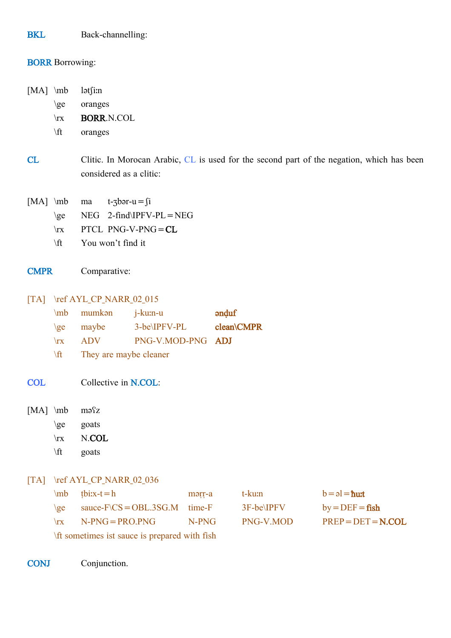BKL Back-channelling:

## **BORR** Borrowing:

[MA] \mb lətʃiːn

\ge oranges

\rx BORR.N.COL

\ft oranges

CL Clitic. In Morocan Arabic, CL is used for the second part of the negation, which has been considered as a clitic:

- [MA]  $\mathbf{m}$  ma t- $\mathbf{J}$  t- $\mathbf{J}$ 
	- $\ge$  NEG 2-find IPFV-PL = NEG
	- \rx PTCL PNG-V-PNG=CL
	- \ft You won't find it
- CMPR Comparative:

[TA] \ref AYL\_CP\_NARR\_02\_015

|              | $\mb{m}$ mumkan | j-ku:n-u          | $\partial$ and $\partial$ and $\partial$ and $\partial$ and $\partial$ and $\partial$ and $\partial$ and $\partial$ and $\partial$ and $\partial$ and $\partial$ and $\partial$ and $\partial$ and $\partial$ and $\partial$ and $\partial$ and $\partial$ and $\partial$ and $\partial$ and $\partial$ and $\partial$ and $\partial$ and $\partial$ and $\partial$ and $\partial$ |
|--------------|-----------------|-------------------|------------------------------------------------------------------------------------------------------------------------------------------------------------------------------------------------------------------------------------------------------------------------------------------------------------------------------------------------------------------------------------|
| $\{ge\}$     | maybe           | 3-be\IPFV-PL      | clean\CMPR                                                                                                                                                                                                                                                                                                                                                                         |
| $\mathbf{r}$ | ADV.            | PNG-V.MOD-PNG ADJ |                                                                                                                                                                                                                                                                                                                                                                                    |

\ft They are maybe cleaner

COL Collective in N.COL:

[MA] \mb məsz

- \ge goats
- \rx N.COL
- \ft goats

### [TA] \ref AYL\_CP\_NARR\_02\_036

|                                              | $\ln b$ tbix-t=h                          | mərr-a | t-ku:n        | $b = a = \hbar u$   |  |  |
|----------------------------------------------|-------------------------------------------|--------|---------------|---------------------|--|--|
| $\{$                                         | sauce- $F\setminus CS = OBL.3SG.M$ time-F |        | $3F$ -be\IPFV | $by = DEF = fish$   |  |  |
| $\mathbf{x}$                                 | $N-PNG = PRO.PNG$                         | N-PNG  | PNG-V.MOD     | $PREP = DET = NCOL$ |  |  |
| If sometimes ist sauce is prepared with fish |                                           |        |               |                     |  |  |

CONJ Conjunction.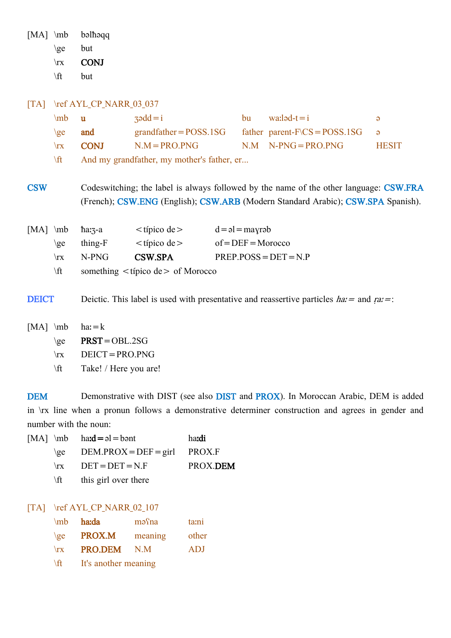[MA] \mb bəlħəqq  $\ge$  but \rx CONJ

 $\forall$ ft but

#### [TA] \ref AYL\_CP\_NARR\_03\_037

| $\mb{\text{mb}}$ | - 11                                       | $3 \cdot 4 = i$          | bu – | $\text{walad-t}=i$                        | $\Theta$     |  |
|------------------|--------------------------------------------|--------------------------|------|-------------------------------------------|--------------|--|
| $\{ge\}$         | and                                        | $grandfather = POSS.1SG$ |      | father parent- $F\setminus CS = POSS.1SG$ | $\Box$ a     |  |
| $\mathbf{r}$     | <b>CONJ</b>                                | $N.M = PRO.PNG$          |      | $N.M$ $N-PNG = PRO.PNG$                   | <b>HESIT</b> |  |
| $\sqrt{t}$       | And my grandfather, my mother's father, er |                          |      |                                           |              |  |

CSW Codeswitching; the label is always followed by the name of the other language: CSW.FRA (French); CSW.ENG (English); CSW.ARB (Modern Standard Arabic); CSW.SPA Spanish).

|              | [MA] $mb$ harz-a                         | $<$ típico de $>$ | $d = \rho l =$ mayrəb   |  |  |
|--------------|------------------------------------------|-------------------|-------------------------|--|--|
| $\chi$ ee    | thing-F                                  | $<$ típico de $>$ | $of = DEF = Moreover$   |  |  |
| $\mathbf{r}$ | N-PNG                                    | <b>CSW.SPA</b>    | $PREF.POSS = DET = N.P$ |  |  |
| \ft_         | something $\lt$ típico de $>$ of Morocco |                   |                         |  |  |

**DEICT** Deictic. This label is used with presentative and reassertive particles  $ha =$  and  $ra =$ :

- $[MA] \mb{mb}$  ha: = k
	- $\ge$  PRST=OBL.2SG
	- \rx DEICT=PRO.PNG
	- \ft Take! / Here you are!

DEM Demonstrative with DIST (see also DIST and PROX). In Moroccan Arabic, DEM is added in \rx line when a pronun follows a demonstrative determiner construction and agrees in gender and number with the noun:

|              | [MA] $\ln b$ $\text{had} = a = \text{b}$ | hardi    |
|--------------|------------------------------------------|----------|
|              | $\geq$ DEM.PROX = DEF = girl PROX.F      |          |
|              | $\forall$ rx DET = DET = N.F             | PROX.DEM |
| $\mathbf{f}$ | this girl over there                     |          |

#### [TA] \ref AYL\_CP\_NARR\_02\_107

| $\mb{\text{mb}}$ | haːda                | mə <sup>c</sup> na | ta:ni      |  |  |
|------------------|----------------------|--------------------|------------|--|--|
| $\{ge\}$         | <b>PROX.M</b>        | meaning            | other      |  |  |
| $\mathbf{x}$     | PRO.DEM              | $N_{\rm M}$        | <b>ADJ</b> |  |  |
| $\sqrt{t}$       | It's another meaning |                    |            |  |  |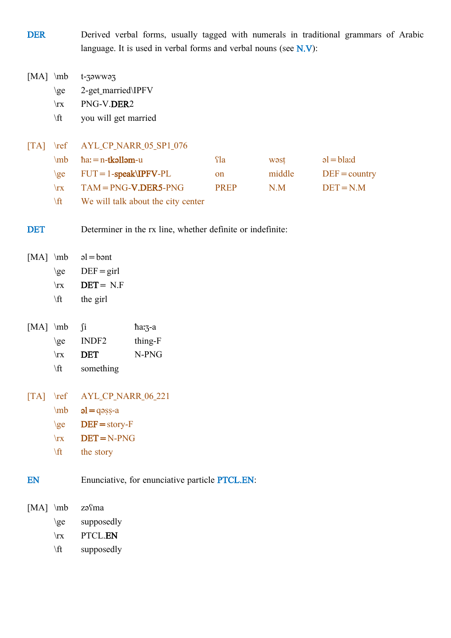DER Derived verbal forms, usually tagged with numerals in traditional grammars of Arabic language. It is used in verbal forms and verbal nouns (see N.V):

[MA] \mb t-ʒəwwəʒ

\ge 2-get\_married\IPFV

\rx PNG-V.DER2

\ft you will get married

# [TA] \ref AYL\_CP\_NARR\_05\_SP1\_076

|              | $\mb{ha} = n - t \bf{kollom} - u$  | Yla           | wəst   | $al = bl$ a:d   |
|--------------|------------------------------------|---------------|--------|-----------------|
| $\{ge\}$     | $FUT = 1$ -speak\IPFV-PL           | <sub>on</sub> | middle | $DEF = country$ |
| $\mathbf{r}$ | $TAM = PNG-V, DER5-PNG$            | <b>PREP</b>   | N M    | $DEF = N.M$     |
| $\sqrt{t}$   | We will talk about the city center |               |        |                 |

DET Determiner in the rx line, whether definite or indefinite:

|              | [MA] $\mb{ab}$ al = bant |
|--------------|--------------------------|
| $\chi$       | $DEF = girl$             |
| $\mathbf{x}$ | $DET = N.F$              |
|              |                          |

\ft the girl

| $[MA] \mb{mb}$ $\bf{ii}$ |     |                                                                                                                                                                                                                                | $\hbar$ a: $\frac{7}{2}$ -a |
|--------------------------|-----|--------------------------------------------------------------------------------------------------------------------------------------------------------------------------------------------------------------------------------|-----------------------------|
|                          |     | $\geq$ INDF2                                                                                                                                                                                                                   | thing-F                     |
|                          |     | $\forall$ rx <b>DET</b>                                                                                                                                                                                                        | N-PNG                       |
|                          | ۱Ω۰ | the contract of the contract of the contract of the contract of the contract of the contract of the contract of the contract of the contract of the contract of the contract of the contract of the contract of the contract o |                             |

- \ft something
- [TA] \ref AYL\_CP\_NARR\_06\_221
	- $\mb{ol} = \text{qəsş-a}$
	- $\geq$  DEF = story-F
	- $\forall$ rx DET=N-PNG
	- \ft the story

EN Enunciative, for enunciative particle PTCL.EN:

| $[MA] \mb{mb}$ |              | zəfma      |
|----------------|--------------|------------|
|                | $\geq$       | supposedly |
|                | $\mathbf{x}$ | PTCL.EN    |
|                | \ft          | supposedly |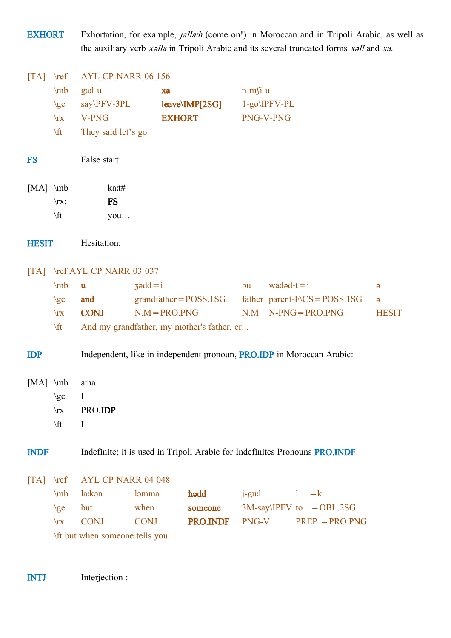EXHORT Exhortation, for example, *jalla:h* (come on!) in Moroccan and in Tripoli Arabic, as well as the auxiliary verb xǝlla in Tripoli Arabic and its several truncated forms xǝll and xa. [TA] \ref AYL\_CP\_NARR\_06\_156 \mb gaːl-u xa n-mʃi-u \ge say\PFV-3PL leave\IMP[2SG] 1-go\IPFV-PL \rx V-PNG EXHORT PNG-V-PNG \ft They said let's go

- FS False start:
- $[MA] \mb{\text{label}}$ \rx: FS  $\forall$ ft you…
- HESIT Hesitation:

# [TA] \ref AYL CP\_NARR\_03\_037

| $\ln b$ u    |             | $\zeta$ and $\zeta$ = i                    | bu | wa: $l$ əd-t $=$ i                          |              |
|--------------|-------------|--------------------------------------------|----|---------------------------------------------|--------------|
| ge           | and         | $grandfather = POSS.1SG$                   |    | father parent- $F\setminus CS = POSS.1SG$ a |              |
| $\mathbf{x}$ | <b>CONJ</b> | $N.M = PRO.PNG$                            |    | $NM$ N-PNG = PRO PNG                        | <b>HESIT</b> |
| \ft          |             | And my grandfather, my mother's father, er |    |                                             |              |

IDP Independent, like in independent pronoun, PRO.IDP in Moroccan Arabic:

[MA] \mb a:na  $\geq \qquad$  I \rx PRO.IDP  $\label{eq:1}$ 

INDF Indefinite; it is used in Tripoli Arabic for Indefinites Pronouns PRO.INDF:

[TA] \ref AYL\_CP\_NARR\_04\_048

|      | $\mathbf{m}$ la: kən           | ləmma       | hədd    | $i$ -gu:l $l = k$           |                                          |
|------|--------------------------------|-------------|---------|-----------------------------|------------------------------------------|
| $\{$ | but                            | when        | someone | $3M$ -say\IPFV to = OBL.2SG |                                          |
|      | $\mathbf{r}$ CONI              | <b>CONI</b> |         |                             | <b>PRO.INDF</b> $PNG-V$ $PREF = PRO.PNG$ |
|      | \ft but when someone tells you |             |         |                             |                                          |

INTJ Interjection :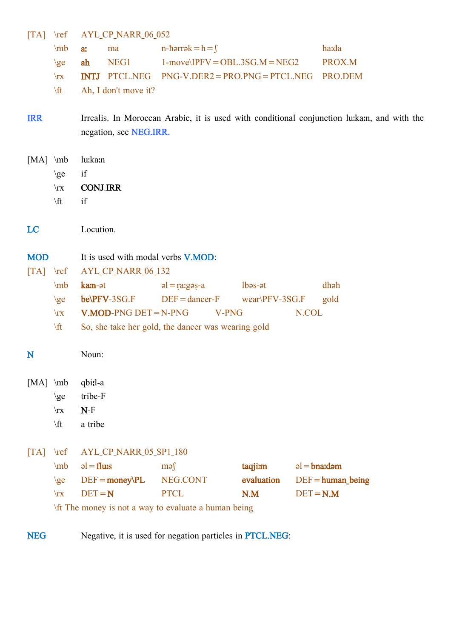[TA] \ref AYL\_CP\_NARR\_06\_052

|                                                                 | \mb<br>$\geq$<br>$\mathbf{x}$<br>$\sqrt{t}$                 | a:<br>ma<br>NEG1<br>ah<br>PTCL.NEG<br><b>INTJ</b><br>Ah, I don't move it?                                                      | n-hərrək $= h = \int$<br>$1$ -move $\text{NPFV} = \text{OBL}.3\text{SG}.M = \text{NEG2}$<br>$PNG-V. DER2 = PRO.PNG = PTCL. NEG$ |                              | ha:da<br>PROX.M<br>PRO.DEM                                                                   |
|-----------------------------------------------------------------|-------------------------------------------------------------|--------------------------------------------------------------------------------------------------------------------------------|---------------------------------------------------------------------------------------------------------------------------------|------------------------------|----------------------------------------------------------------------------------------------|
| <b>IRR</b>                                                      |                                                             | negation, see NEG.IRR.                                                                                                         |                                                                                                                                 |                              | Irrealis. In Moroccan Arabic, it is used with conditional conjunction lu: ka:n, and with the |
| $[MA] \mb{\in}$                                                 | $\geq$<br>$\mathbf{x}$<br>$\sqrt{t}$                        | lu:ka:n<br>if<br><b>CONJ.IRR</b><br>if                                                                                         |                                                                                                                                 |                              |                                                                                              |
| LC                                                              |                                                             | Locution.                                                                                                                      |                                                                                                                                 |                              |                                                                                              |
| <b>MOD</b><br>$\begin{bmatrix} \text{T} \text{A} \end{bmatrix}$ | $\lvert \mathbf{r} \rvert$<br>$\ln b$<br>$\geq$             | It is used with modal verbs <b>V.MOD</b> :<br>AYL_CP_NARR_06_132<br>ka:n-ət<br>be\PFV-3SG.F                                    | $a = \frac{1}{2}$<br>$DEF = dancer-F$                                                                                           | $l$ bəs-ət<br>wear\PFV-3SG.F | dhah<br>gold                                                                                 |
|                                                                 | $\mathbf{x}$<br>$\sqrt{t}$                                  | $V.MOD-PNG$ $DET = N-PNG$                                                                                                      | V-PNG<br>So, she take her gold, the dancer was wearing gold                                                                     |                              | N.COL                                                                                        |
| N                                                               |                                                             | Noun:                                                                                                                          |                                                                                                                                 |                              |                                                                                              |
| $[MA]$ \mb                                                      | $\geq$<br>$\mathbf{x}$<br>$\forall$ ft                      | qbi:l-a<br>tribe-F<br>$N-F$<br>a tribe                                                                                         |                                                                                                                                 |                              |                                                                                              |
| $\begin{bmatrix} \text{T} \text{A} \end{bmatrix}$               | $\lvert \mathbf{r} \rvert$<br>\mb<br>$\geq$<br>$\mathbf{x}$ | AYL_CP_NARR_05_SP1_180<br>$al = flux$<br>$DEF = money\PL$<br>$DEF = N$<br>\ft The money is not a way to evaluate a human being | $\text{mg}$<br>NEG.CONT<br><b>PTCL</b>                                                                                          | taqjim<br>evaluation<br>N.M  | $al = bnad$<br>$DEF = human\, being$<br>$DEF = N.M$                                          |

NEG Negative, it is used for negation particles in PTCL.NEG: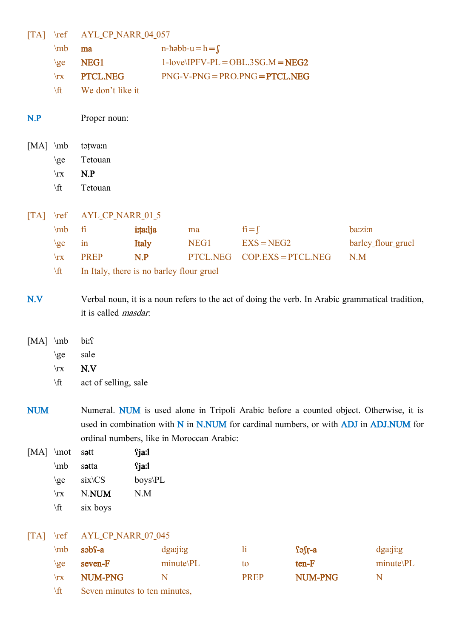| $\lfloor TA \rfloor$                              | $\lvert \mathbf{r} \rvert$ | AYL_CP_NARR_04_057            |              |                                           |              |                      |                                                                                                 |
|---------------------------------------------------|----------------------------|-------------------------------|--------------|-------------------------------------------|--------------|----------------------|-------------------------------------------------------------------------------------------------|
|                                                   | \mb                        | ma                            |              | $n-h0$ -həbb-u= $h = f$                   |              |                      |                                                                                                 |
|                                                   | $\geq$                     | NEG1                          |              | $1$ -love\IPFV-PL = OBL.3SG.M = NEG2      |              |                      |                                                                                                 |
|                                                   | $\mathbf{x}$               | PTCL.NEG                      |              | $PNG-V-PNG = PRO.PNG = PTCL.NEG$          |              |                      |                                                                                                 |
|                                                   | \ft                        | We don't like it              |              |                                           |              |                      |                                                                                                 |
| N.P                                               |                            | Proper noun:                  |              |                                           |              |                      |                                                                                                 |
|                                                   |                            |                               |              |                                           |              |                      |                                                                                                 |
| $[MA] \infty$                                     |                            | tatwa:n                       |              |                                           |              |                      |                                                                                                 |
|                                                   | $\geq$                     | Tetouan                       |              |                                           |              |                      |                                                                                                 |
|                                                   | $\mathbf{x}$               | N.P                           |              |                                           |              |                      |                                                                                                 |
|                                                   | $\forall$ ft               | Tetouan                       |              |                                           |              |                      |                                                                                                 |
| $\begin{bmatrix} \text{T} \text{A} \end{bmatrix}$ | $\lvert \mathbf{r} \rvert$ | AYL_CP_NARR_01_5              |              |                                           |              |                      |                                                                                                 |
|                                                   | $\ln b$                    | fi                            | i:ta:lja     | ma                                        | $fi = f$     |                      | <b>bazzi:n</b>                                                                                  |
|                                                   | $\geq$                     | in                            | Italy        | NEG1                                      | $EXS = NEG2$ |                      | barley_flour_gruel                                                                              |
|                                                   | $\mathbf{x}$               | <b>PREP</b>                   | N.P          | PTCL.NEG                                  |              | $COP.EXS = PTCL.NEG$ | N.M                                                                                             |
|                                                   | \ft                        |                               |              | In Italy, there is no barley flour gruel  |              |                      |                                                                                                 |
|                                                   |                            |                               |              |                                           |              |                      |                                                                                                 |
| N.V                                               |                            |                               |              |                                           |              |                      | Verbal noun, it is a noun refers to the act of doing the verb. In Arabic grammatical tradition, |
|                                                   |                            | it is called <i>masdar</i> .  |              |                                           |              |                      |                                                                                                 |
|                                                   |                            |                               |              |                                           |              |                      |                                                                                                 |
| $[MA] \verb mb $                                  |                            | bi: <sup>c</sup>              |              |                                           |              |                      |                                                                                                 |
|                                                   | $\geq$                     | sale                          |              |                                           |              |                      |                                                                                                 |
|                                                   | $\mathbf{x}$               | N.V                           |              |                                           |              |                      |                                                                                                 |
|                                                   | $\sqrt{t}$                 | act of selling, sale          |              |                                           |              |                      |                                                                                                 |
|                                                   |                            |                               |              |                                           |              |                      |                                                                                                 |
| <b>NUM</b>                                        |                            |                               |              |                                           |              |                      | Numeral. NUM is used alone in Tripoli Arabic before a counted object. Otherwise, it is          |
|                                                   |                            |                               |              |                                           |              |                      | used in combination with N in N.NUM for cardinal numbers, or with ADJ in ADJ.NUM for            |
|                                                   |                            |                               |              | ordinal numbers, like in Moroccan Arabic: |              |                      |                                                                                                 |
| [MA] \mot                                         |                            | sott                          | <b>Sja:1</b> |                                           |              |                      |                                                                                                 |
|                                                   | $\mb{\text{mb}}$           | sotta                         | <b>Sja:1</b> |                                           |              |                      |                                                                                                 |
|                                                   | $\geq$                     | six\CS                        | boys\PL      |                                           |              |                      |                                                                                                 |
|                                                   | $\mathbf{x}$               | N.NUM                         | N.M          |                                           |              |                      |                                                                                                 |
|                                                   | \ft                        | six boys                      |              |                                           |              |                      |                                                                                                 |
| $\begin{bmatrix} \text{T} \text{A} \end{bmatrix}$ | $\lvert \mathbf{r} \rvert$ | AYL_CP_NARR_07_045            |              |                                           |              |                      |                                                                                                 |
|                                                   | \mb                        | səbs-a                        |              | dga:ji:g                                  | $\mathbf{h}$ | $f = f f$            | dga:ji:g                                                                                        |
|                                                   | $\geq$                     | seven-F                       |              | minute\PL                                 | to           | ten-F                | minute\PL                                                                                       |
|                                                   | $\mathbf{x}$               | NUM-PNG                       | N            |                                           | <b>PREP</b>  | NUM-PNG              | N                                                                                               |
|                                                   | \ft                        | Seven minutes to ten minutes, |              |                                           |              |                      |                                                                                                 |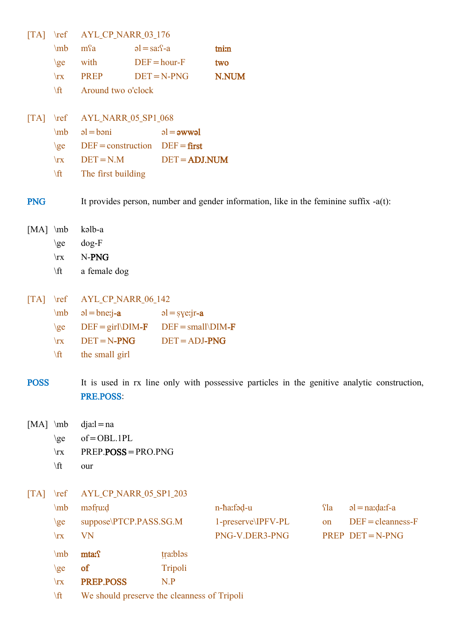| $\begin{bmatrix} \text{T} \text{A} \end{bmatrix}$ | $\lvert \mathbf{ref} \rvert$ | AYL_CP_NARR_03_176                          |                       |                                                                                             |          |                     |
|---------------------------------------------------|------------------------------|---------------------------------------------|-----------------------|---------------------------------------------------------------------------------------------|----------|---------------------|
|                                                   | \mb                          | m <sup>c</sup> a                            | $al = sa: S-a$        | tnim                                                                                        |          |                     |
|                                                   | $\geq$                       | with                                        | $DEF = hour - F$      | two                                                                                         |          |                     |
|                                                   | $\mathbf{x}$                 | <b>PREP</b>                                 | $DEF = N-PNG$         | N.NUM                                                                                       |          |                     |
|                                                   | \ft                          | Around two o'clock                          |                       |                                                                                             |          |                     |
|                                                   |                              |                                             |                       |                                                                                             |          |                     |
| $\Gamma$ A                                        | $\lvert \mathbf{r} \rvert$   | AYL_NARR_05_SP1_068                         |                       |                                                                                             |          |                     |
|                                                   | $\mb{\text{mb}}$             | $al = b$ əni                                | $al =$ awwel          |                                                                                             |          |                     |
|                                                   | $\zeta$                      | $DEF = construction$ $DEF = first$          |                       |                                                                                             |          |                     |
|                                                   | $\mathbf{x}$                 | $DEF = N.M$                                 | $DEF = ADJ. NUM$      |                                                                                             |          |                     |
|                                                   | \ft                          | The first building                          |                       |                                                                                             |          |                     |
|                                                   |                              |                                             |                       |                                                                                             |          |                     |
| <b>PNG</b>                                        |                              |                                             |                       | It provides person, number and gender information, like in the feminine suffix $-a(t)$ :    |          |                     |
|                                                   |                              |                                             |                       |                                                                                             |          |                     |
| $[MA]$ \mb                                        |                              | kəlb-a                                      |                       |                                                                                             |          |                     |
|                                                   | $\geq$                       | $dog-F$                                     |                       |                                                                                             |          |                     |
|                                                   | $\mathbf{x}$<br>$\sqrt{t}$   | N-PNG                                       |                       |                                                                                             |          |                     |
|                                                   |                              | a female dog                                |                       |                                                                                             |          |                     |
| $\begin{bmatrix} \text{TA} \end{bmatrix}$         |                              | AYL_CP_NARR_06_142                          |                       |                                                                                             |          |                     |
|                                                   | $\ln b$                      | $a = b$ ne: $i - a$                         | $al = \frac{1}{2}$    |                                                                                             |          |                     |
|                                                   | $\geq$                       | $DEF = girl\DIM-F$                          | $DEF = small\D{IM-F}$ |                                                                                             |          |                     |
|                                                   | $\mathbf{x}$                 | $DEF = N-PNG$                               | $DEF = ADJ-PNG$       |                                                                                             |          |                     |
|                                                   | $\sqrt{t}$                   | the small girl                              |                       |                                                                                             |          |                     |
|                                                   |                              |                                             |                       |                                                                                             |          |                     |
| <b>POSS</b>                                       |                              |                                             |                       | It is used in rx line only with possessive particles in the genitive analytic construction, |          |                     |
|                                                   |                              | PRE.POSS:                                   |                       |                                                                                             |          |                     |
|                                                   |                              |                                             |                       |                                                                                             |          |                     |
| $[MA] \mb{\text{mb}}$                             |                              | $dja: l = na$                               |                       |                                                                                             |          |                     |
|                                                   | $\geq$                       | $of = OBL.1PL$                              |                       |                                                                                             |          |                     |
|                                                   | $\mathbf{x}$                 | $PREF.POSS = PRO.PNG$                       |                       |                                                                                             |          |                     |
|                                                   | $\sqrt{t}$                   | our                                         |                       |                                                                                             |          |                     |
|                                                   |                              |                                             |                       |                                                                                             |          |                     |
| $\begin{bmatrix} \text{T} \text{A} \end{bmatrix}$ | $\lvert \mathbf{r} \rvert$   | AYL_CP_NARR_05_SP1_203                      |                       |                                                                                             |          |                     |
|                                                   | \mb                          | məfru:d                                     |                       | n-ha:fəd-u                                                                                  | $\Omega$ | $=$ na: $data$ :f-a |
|                                                   | $\{ge$                       | suppose\PTCP.PASS.SG.M                      |                       | 1-preserve\IPFV-PL                                                                          | on       | $DEF = cleanness-F$ |
|                                                   | $\mathbf{x}$                 | <b>VN</b>                                   |                       | PNG-V.DER3-PNG                                                                              |          | PREP DET=N-PNG      |
|                                                   | \mb                          | mta: f                                      | tra:blos              |                                                                                             |          |                     |
|                                                   | $\geq$                       | of                                          | Tripoli               |                                                                                             |          |                     |
|                                                   | $\mathbf{x}$                 | PREP.POSS                                   | N.P                   |                                                                                             |          |                     |
|                                                   | $\sqrt{t}$                   | We should preserve the cleanness of Tripoli |                       |                                                                                             |          |                     |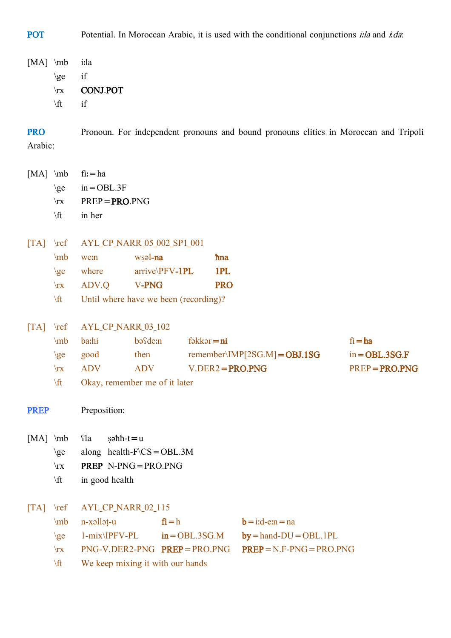POT Potential. In Moroccan Arabic, it is used with the conditional conjunctions *i:la* and *i.da*:

[MA] \mb iːla \ge if \rx CONJ.POT \ft if

PRO Pronoun. For independent pronouns and bound pronouns elities in Moroccan and Tripoli Arabic:

|      | [MA] $mb$ fi: = ha        |
|------|---------------------------|
|      | \ge in = OBL.3F           |
|      | $\text{ }$ PREP = PRO.PNG |
| \ft. | in her                    |
|      |                           |

[TA] \ref AYL\_CP\_NARR\_05\_002\_SP1\_001

|              | $\mb{m}$ we:n | wsəl <b>-na</b>   | ħna        |
|--------------|---------------|-------------------|------------|
|              | $\{ge$ where  | $arrive\PPFV-1PL$ | 1PL        |
| $\mathbf{x}$ | ADV.Q         | V-PNG             | <b>PRO</b> |

\ft Until where have we been (recording)?

[TA] \ref AYL\_CP\_NARR\_03\_102

| \m $b$       | ha:hi      | bəfde:n                       | $f \ni k$ kər $= n i$           | $fi = ha$        |
|--------------|------------|-------------------------------|---------------------------------|------------------|
| ge           | good       | then                          | remember\IMP[2SG.M] = $OBJ.1SG$ | $in = OBL.3SG.F$ |
| $\mathbf{r}$ | <b>ADV</b> | <b>ADV</b>                    | $V.DER2 = PRO.PNG$              | $PREP = PRO.PNG$ |
| \ft.         |            | Okay, remember me of it later |                                 |                  |

**PREP** Preposition:

- $[MA] \mb{Sla}$  səhh-t=u
	- \ge along health-F\CS = OBL.3M
	- \rx PREP N-PNG=PRO.PNG
	- \ft in good health

[TA] \ref AYL\_CP\_NARR\_02\_115

|              | $mb$ n-xəllət-u                  | $fi = h$ | $\mathbf{b} = \text{i} \cdot \text{d} - \text{e} \cdot \text{n} = \text{n} \cdot \text{d}$ |
|--------------|----------------------------------|----------|--------------------------------------------------------------------------------------------|
|              |                                  |          | $\geq$ 1-mix\IPFV-PL in = OBL.3SG.M by = hand-DU = OBL.1PL                                 |
| $\mathbf{r}$ |                                  |          | $PNG-V. DER2-PNG$ $PREF = PRO.PNG$ $PREF = N.F-PNG = PRO.PNG$                              |
| \ft          | We keep mixing it with our hands |          |                                                                                            |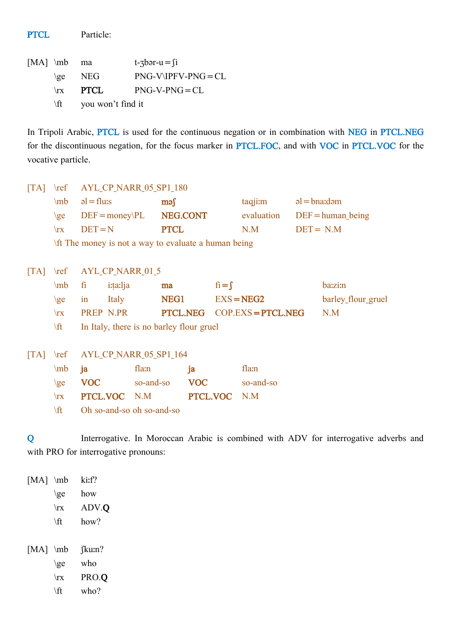PTCL Particle:

[MA]  $\mathbb{M}$  ma t- $\mathbb{J}$  t- $\mathbb{J}$ \ge NEG PNG-V\IPFV-PNG=CL  $\forall$ rx PTCL PNG-V-PNG=CL \ft you won't find it

In Tripoli Arabic, PTCL is used for the continuous negation or in combination with NEG in PTCL.NEG for the discontinuous negation, for the focus marker in PTCL.FOC, and with VOC in PTCL.VOC for the vocative particle.

[TA] \ref AYL CP NARR 05 SP1 180  $\ln b$  əl=fluːs məʃ taqjiːm əl=bnaːdəm  $\geq$  DEF=money\PL NEG.CONT evaluation DEF=human being  $\forall$ rx DET = N PTCL N.M DET = N.M \ft The money is not a way to evaluate a human being [TA] \ref AYL CP NARR\_01\_5 \mb fi i:ta:lja **ma** fi=**f** ba:zi:n \ge in Italy **NEG1** EXS=NEG2 barley\_flour\_gruel \rx PREP N.PR PTCL.NEG COP.EXS=PTCL.NEG N.M \ft In Italy, there is no barley flour gruel [TA] \ref AYL\_CP\_NARR\_05\_SP1\_164 \mb ja flaːn ja flaːn \ge VOC so-and-so VOC so-and-so \rx PTCL.VOC N.M PTCL.VOC N.M \ft Oh so-and-so oh so-and-so

Q Interrogative. In Moroccan Arabic is combined with ADV for interrogative adverbs and with PRO for interrogative pronouns:

[MA] \mb ki:f?  $\ge$  how \rx ADV.Q  $\forall$ ft how? [MA] \mb [kuːn?  $\ge$  who \rx PRO.Q  $\forall$ ft who?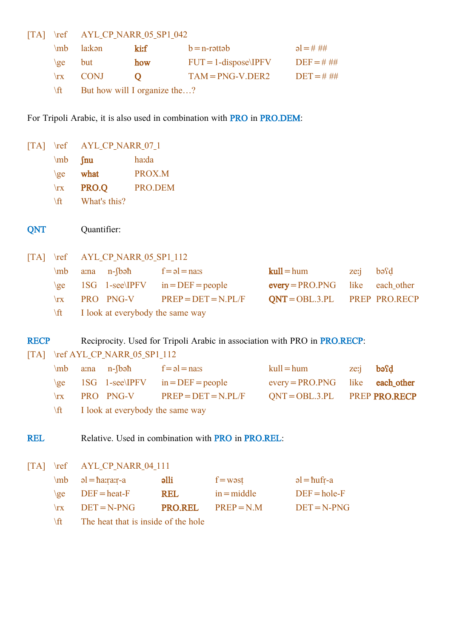[TA] \ref AYL\_CP\_NARR\_05\_SP1\_042

| $\mb{\text{mb}}$ | la:kən      | kirf                         | $b = n$ -rəttəb         | $a = # ##$   |
|------------------|-------------|------------------------------|-------------------------|--------------|
| $\{ge\}$         | but         | how                          | $FUT = 1$ -dispose IPFV | $DEF = # ##$ |
| $\mathbf{x}$     | <b>CONJ</b> |                              | $TAM = PNG-V.DER2$      | $DEF = # ##$ |
| $\sqrt{t}$       |             | But how will I organize the? |                         |              |

For Tripoli Arabic, it is also used in combination with PRO in PRO.DEM:

| $\lceil TA \rceil$                                | $\lvert \text{ref} \rvert$ | AYL_CP_NARR_07_1                 |               |                       |                                                                           |              |                    |      |                      |
|---------------------------------------------------|----------------------------|----------------------------------|---------------|-----------------------|---------------------------------------------------------------------------|--------------|--------------------|------|----------------------|
|                                                   | \mb                        | $\int$ nu                        | ha:da         |                       |                                                                           |              |                    |      |                      |
|                                                   | $\geq$                     | what                             | PROX.M        |                       |                                                                           |              |                    |      |                      |
|                                                   | $\mathbf{x}$               | PRO.Q                            | PRO.DEM       |                       |                                                                           |              |                    |      |                      |
|                                                   | \ft                        | What's this?                     |               |                       |                                                                           |              |                    |      |                      |
|                                                   |                            |                                  |               |                       |                                                                           |              |                    |      |                      |
| QNT                                               |                            | Quantifier:                      |               |                       |                                                                           |              |                    |      |                      |
|                                                   |                            |                                  |               |                       |                                                                           |              |                    |      |                      |
| $\lfloor TA \rfloor$                              | $\lvert \mathbf{r} \rvert$ | AYL_CP_NARR_05_SP1_112           |               |                       |                                                                           |              |                    |      |                      |
|                                                   | \mb                        | $n$ -fbə $\hbar$<br>a:na         |               | $f = \rho l = n a s$  |                                                                           | $kull = hum$ |                    | zerj | basd                 |
|                                                   | $\geq$                     | 1SG<br>$1$ -see\IPFV             |               | $in = DEF = people$   |                                                                           |              | $every = PRO.PNG$  | like | each_other           |
|                                                   | $\mathbf{x}$               | PRO PNG-V                        |               | $PREF = DET = N.PL/F$ |                                                                           |              | $QNT = OBL.3.PL$   |      | PREP PRO.RECP        |
|                                                   | \ft                        | I look at everybody the same way |               |                       |                                                                           |              |                    |      |                      |
|                                                   |                            |                                  |               |                       |                                                                           |              |                    |      |                      |
|                                                   |                            |                                  |               |                       |                                                                           |              |                    |      |                      |
| <b>RECP</b>                                       |                            |                                  |               |                       | Reciprocity. Used for Tripoli Arabic in association with PRO in PRO.RECP. |              |                    |      |                      |
| $\begin{bmatrix} \text{T} \text{A} \end{bmatrix}$ |                            | \ref AYL_CP_NARR_05_SP1_112      |               |                       |                                                                           |              |                    |      |                      |
|                                                   | \mb                        | $n$ -fbə $\hbar$<br>a:na         |               | $f = \rho l = n a s$  |                                                                           | $kull = hum$ |                    | ze:j | bəfd                 |
|                                                   | $\geq$                     | 1SG                              | $1$ -see\IPFV | $in = DEF = people$   |                                                                           |              | $every = PRO.PNG$  | like | each_other           |
|                                                   | $\mathbf{x}$               | PRO PNG-V                        |               | $PREF = DET = N.PL/F$ |                                                                           |              | $QNT = OBL.3.PL$   |      | <b>PREP PRO.RECP</b> |
|                                                   | \ft                        | I look at everybody the same way |               |                       |                                                                           |              |                    |      |                      |
|                                                   |                            |                                  |               |                       |                                                                           |              |                    |      |                      |
| <b>REL</b>                                        |                            |                                  |               |                       | Relative. Used in combination with <b>PRO</b> in <b>PRO, REL</b> :        |              |                    |      |                      |
|                                                   |                            |                                  |               |                       |                                                                           |              |                    |      |                      |
| $\begin{bmatrix} \text{T} \text{A} \end{bmatrix}$ | $\lvert \mathbf{r} \rvert$ | AYL_CP_NARR_04_111               |               |                       |                                                                           |              |                    |      |                      |
|                                                   | \mb                        | $= harrar - a$                   |               | elli                  | $f = w \circ st$                                                          |              | $a = \hbar u$ fr-a |      |                      |
|                                                   | $\geq$                     | $DEF = heat-F$                   |               | <b>REL</b>            | $in = middle$                                                             |              | $DEF = hole-F$     |      |                      |
|                                                   | $\mathbf{x}$               | $DEF = N-PNG$                    |               | <b>PRO.REL</b>        | $PREP = N.M$                                                              |              | $DEF = N-PNG$      |      |                      |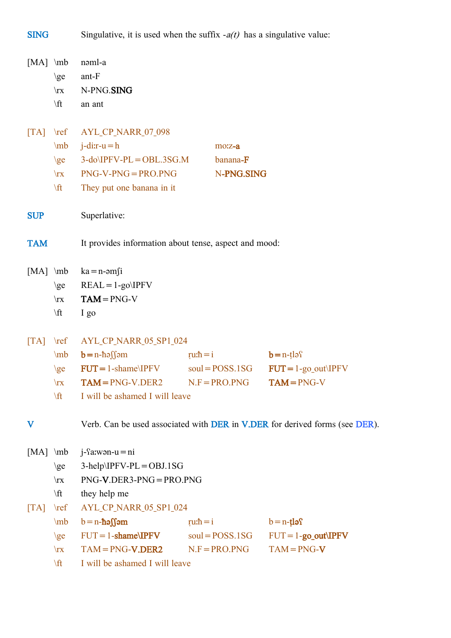SING Singulative, it is used when the suffix  $-a(t)$  has a singulative value:

| $[MA]$ \mb                                        |                                                                                                   | nəml-a                                                |                 |                   |                        |  |  |  |  |  |
|---------------------------------------------------|---------------------------------------------------------------------------------------------------|-------------------------------------------------------|-----------------|-------------------|------------------------|--|--|--|--|--|
|                                                   | $\geq$                                                                                            | ant-F<br>N-PNG.SING                                   |                 |                   |                        |  |  |  |  |  |
|                                                   | $\mathbf{x}$                                                                                      |                                                       |                 |                   |                        |  |  |  |  |  |
|                                                   | $\sqrt{t}$                                                                                        | an ant                                                |                 |                   |                        |  |  |  |  |  |
| $\begin{bmatrix} \text{T} \text{A} \end{bmatrix}$ | $\lvert \mathbf{r} \rvert$                                                                        | AYL_CP_NARR_07_098                                    |                 |                   |                        |  |  |  |  |  |
|                                                   | $\ln b$                                                                                           | $j$ -dir-u = h                                        |                 |                   |                        |  |  |  |  |  |
|                                                   | $\geq$                                                                                            | $3-do\IP FV-PL=OBL.3SG.M$<br>banana-F                 |                 |                   |                        |  |  |  |  |  |
|                                                   | $\mathbf{x}$                                                                                      | N-PNG.SING<br>$PNG-V-PNG = PRO.PNG$                   |                 |                   |                        |  |  |  |  |  |
|                                                   | \ft                                                                                               | They put one banana in it                             |                 |                   |                        |  |  |  |  |  |
| <b>SUP</b>                                        |                                                                                                   | Superlative:                                          |                 |                   |                        |  |  |  |  |  |
| <b>TAM</b>                                        |                                                                                                   | It provides information about tense, aspect and mood: |                 |                   |                        |  |  |  |  |  |
| $[MA]$ \mb                                        |                                                                                                   | $ka = n$ -əm $fi$                                     |                 |                   |                        |  |  |  |  |  |
|                                                   | $\geq$                                                                                            | $REAL = 1-go\IP FV$                                   |                 |                   |                        |  |  |  |  |  |
|                                                   | $\mathbf{x}$                                                                                      | $TAM = PNG-V$                                         |                 |                   |                        |  |  |  |  |  |
|                                                   | $\sqrt{t}$                                                                                        | I go                                                  |                 |                   |                        |  |  |  |  |  |
| $\lceil TA \rceil$                                | $\lvert \mathbf{r} \rvert$                                                                        | AYL_CP_NARR_05_SP1_024                                |                 |                   |                        |  |  |  |  |  |
|                                                   | mb                                                                                                | $b=n-h$ əssəm                                         |                 | $ru \cdot h = i$  | $b = n - t \log$       |  |  |  |  |  |
|                                                   | $\zeta$                                                                                           | $FUT = 1$ -shame\IPFV                                 |                 | $soul = POSS.1SG$ | $FUT = 1$ -go out IPFV |  |  |  |  |  |
|                                                   | $\mathbf{x}$                                                                                      | $TAM = PNG-V.DER2$ $N.F = PRO.PNG$                    |                 |                   | $TAM = PNG-V$          |  |  |  |  |  |
|                                                   | $\sqrt{t}$                                                                                        | I will be ashamed I will leave                        |                 |                   |                        |  |  |  |  |  |
| $\bf V$                                           | Verb. Can be used associated with <b>DER</b> in <b>V.DER</b> for derived forms (see <b>DER</b> ). |                                                       |                 |                   |                        |  |  |  |  |  |
| $[MA] \mb{\in}$                                   |                                                                                                   | $j$ - $\Omega$ :wən-u = ni                            |                 |                   |                        |  |  |  |  |  |
|                                                   | $\geq$                                                                                            | $3-help\IP FV-PL=OBJ.1SG$                             |                 |                   |                        |  |  |  |  |  |
|                                                   | $\mathbf{x}$                                                                                      | $PNG-V.DER3-PNG = PRO.PNG$                            |                 |                   |                        |  |  |  |  |  |
|                                                   | $\sqrt{t}$                                                                                        | they help me                                          |                 |                   |                        |  |  |  |  |  |
| $\lceil TA \rceil$                                | $\lvert \mathbf{r} \rvert$                                                                        | AYL_CP_NARR_05_SP1_024                                |                 |                   |                        |  |  |  |  |  |
|                                                   | $\mb{\text{mb}}$                                                                                  | $b = n-h$ əssəm                                       | ru: $\hbar = i$ |                   | $b = n - t \log$       |  |  |  |  |  |
|                                                   | $\geq$                                                                                            | $FUT = 1$ -shame\IPFV                                 |                 | $soul = POSS.1SG$ | $FUT = 1$ -go_out IPFV |  |  |  |  |  |
|                                                   | $\mathbf{x}$                                                                                      | $TAM = PNG-V.DER2$                                    |                 | $N.F = PRO.PNG$   | $TAM = PNG-V$          |  |  |  |  |  |
|                                                   | $\sqrt{t}$                                                                                        | I will be ashamed I will leave                        |                 |                   |                        |  |  |  |  |  |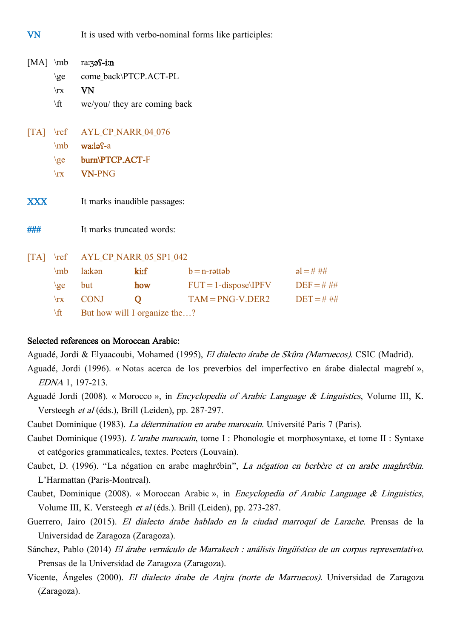VN It is used with verbo-nominal forms like participles:

| $[MA] \mb{\in}$ |                  | ra:39 s-i:n                      |                              |                         |              |  |  |  |
|-----------------|------------------|----------------------------------|------------------------------|-------------------------|--------------|--|--|--|
|                 | $\geq$           | come_back\PTCP.ACT-PL            |                              |                         |              |  |  |  |
|                 | $\mathbf{x}$     | VN                               |                              |                         |              |  |  |  |
|                 | $\forall$ ft     |                                  | we/you/ they are coming back |                         |              |  |  |  |
|                 |                  | [TA] \ref AYL_CP_NARR_04_076     |                              |                         |              |  |  |  |
|                 | $\mb{\text{mb}}$ | wa:ləf-a                         |                              |                         |              |  |  |  |
|                 |                  | \ge burn\PTCP.ACT-F              |                              |                         |              |  |  |  |
|                 | $\mathbf{x}$     | <b>VN-PNG</b>                    |                              |                         |              |  |  |  |
| <b>XXX</b>      |                  | It marks inaudible passages:     |                              |                         |              |  |  |  |
| ###             |                  | It marks truncated words:        |                              |                         |              |  |  |  |
|                 |                  | [TA] \ref AYL_CP_NARR_05_SP1_042 |                              |                         |              |  |  |  |
|                 | \mb              | la:kən                           | ki:f                         | $b = n$ -rəttəb         | $al = # ##$  |  |  |  |
|                 | $\zeta$          | but                              | how                          | $FUT = 1$ -dispose\IPFV | $DEF = # ##$ |  |  |  |
|                 | $\mathbf{x}$     | <b>CONJ</b>                      | Q                            | $TAM = PNG-V.DER2$      | $DEF = # ##$ |  |  |  |
|                 |                  |                                  |                              |                         |              |  |  |  |

#### Selected references on Moroccan Arabic:

Aguadé, Jordi & Elyaacoubi, Mohamed (1995), El dialecto árabe de Skûra (Marruecos). CSIC (Madrid).

- Aguadé, Jordi (1996). « Notas acerca de los preverbios del imperfectivo en árabe dialectal magrebí », EDNA 1, 197-213.
- Aguadé Jordi (2008). « Morocco », in Encyclopedia of Arabic Language & Linguistics, Volume III, K. Versteegh et al (éds.), Brill (Leiden), pp. 287-297.
- Caubet Dominique (1983). La détermination en arabe marocain. Université Paris 7 (Paris).
- Caubet Dominique (1993). L'arabe marocain, tome I : Phonologie et morphosyntaxe, et tome II : Syntaxe et catégories grammaticales, textes. Peeters (Louvain).
- Caubet, D. (1996). "La négation en arabe maghrébin", La négation en berbère et en arabe maghrébin. L'Harmattan (Paris-Montreal).
- Caubet, Dominique (2008). « Moroccan Arabic », in Encyclopedia of Arabic Language & Linguistics, Volume III, K. Versteegh et al (éds.). Brill (Leiden), pp. 273-287.
- Guerrero, Jairo (2015). El dialecto árabe hablado en la ciudad marroquí de Larache. Prensas de la Universidad de Zaragoza (Zaragoza).
- Sánchez, Pablo (2014) El árabe vernáculo de Marrakech : análisis lingüístico de un corpus representativo. Prensas de la Universidad de Zaragoza (Zaragoza).
- Vicente, Ángeles (2000). El dialecto árabe de Anjra (norte de Marruecos). Universidad de Zaragoza (Zaragoza).